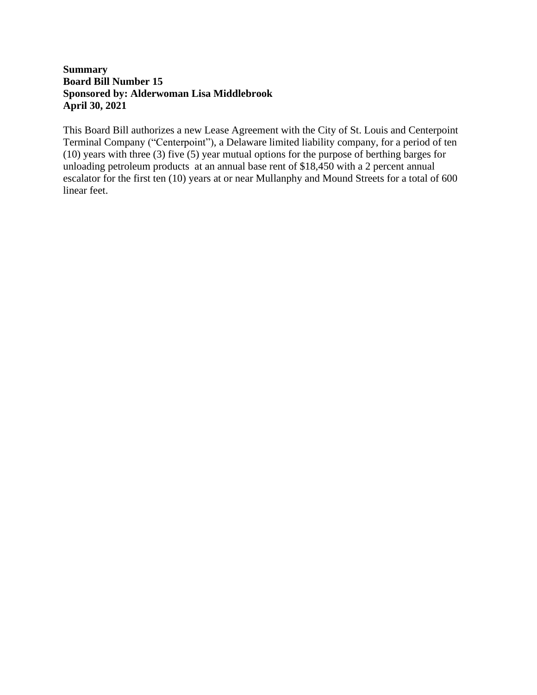# **Summary Board Bill Number 15 Sponsored by: Alderwoman Lisa Middlebrook April 30, 2021**

This Board Bill authorizes a new Lease Agreement with the City of St. Louis and Centerpoint Terminal Company ("Centerpoint"), a Delaware limited liability company, for a period of ten (10) years with three (3) five (5) year mutual options for the purpose of berthing barges for unloading petroleum products at an annual base rent of \$18,450 with a 2 percent annual escalator for the first ten (10) years at or near Mullanphy and Mound Streets for a total of 600 linear feet.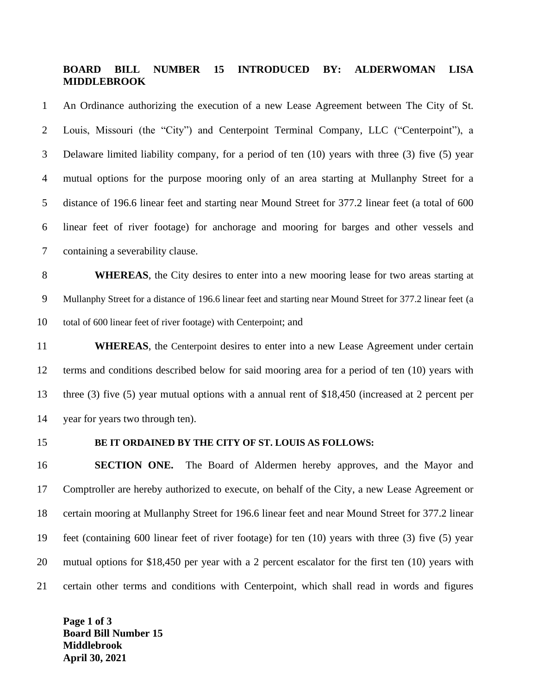#### **BOARD BILL NUMBER 15 INTRODUCED BY: ALDERWOMAN LISA MIDDLEBROOK**

 An Ordinance authorizing the execution of a new Lease Agreement between The City of St. Louis, Missouri (the "City") and Centerpoint Terminal Company, LLC ("Centerpoint"), a Delaware limited liability company, for a period of ten (10) years with three (3) five (5) year mutual options for the purpose mooring only of an area starting at Mullanphy Street for a distance of 196.6 linear feet and starting near Mound Street for 377.2 linear feet (a total of 600 linear feet of river footage) for anchorage and mooring for barges and other vessels and containing a severability clause.

 **WHEREAS**, the City desires to enter into a new mooring lease for two areas starting at Mullanphy Street for a distance of 196.6 linear feet and starting near Mound Street for 377.2 linear feet (a total of 600 linear feet of river footage) with Centerpoint; and

**WHEREAS**, the Centerpoint desires to enter into a new Lease Agreement under certain terms and conditions described below for said mooring area for a period of ten (10) years with three (3) five (5) year mutual options with a annual rent of \$18,450 (increased at 2 percent per year for years two through ten).

#### **BE IT ORDAINED BY THE CITY OF ST. LOUIS AS FOLLOWS:**

 **SECTION ONE.** The Board of Aldermen hereby approves, and the Mayor and Comptroller are hereby authorized to execute, on behalf of the City, a new Lease Agreement or certain mooring at Mullanphy Street for 196.6 linear feet and near Mound Street for 377.2 linear feet (containing 600 linear feet of river footage) for ten (10) years with three (3) five (5) year mutual options for \$18,450 per year with a 2 percent escalator for the first ten (10) years with certain other terms and conditions with Centerpoint, which shall read in words and figures

**Page 1 of 3 Board Bill Number 15 Middlebrook April 30, 2021**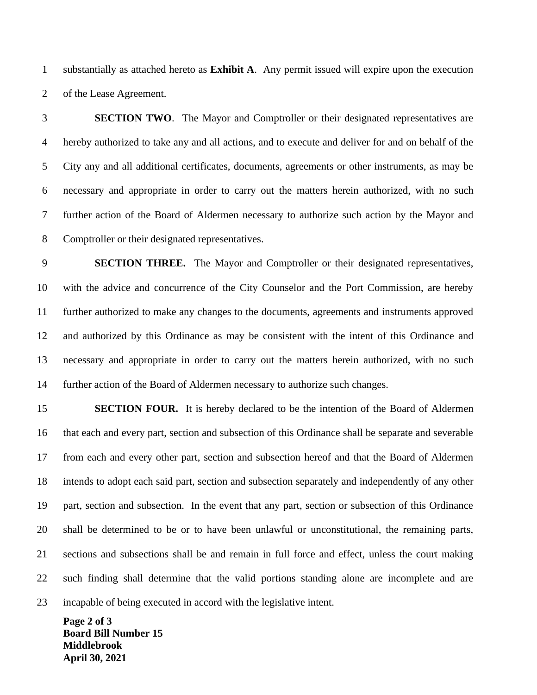substantially as attached hereto as **Exhibit A**. Any permit issued will expire upon the execution of the Lease Agreement.

 **SECTION TWO**. The Mayor and Comptroller or their designated representatives are hereby authorized to take any and all actions, and to execute and deliver for and on behalf of the City any and all additional certificates, documents, agreements or other instruments, as may be necessary and appropriate in order to carry out the matters herein authorized, with no such further action of the Board of Aldermen necessary to authorize such action by the Mayor and Comptroller or their designated representatives.

 **SECTION THREE.** The Mayor and Comptroller or their designated representatives, with the advice and concurrence of the City Counselor and the Port Commission, are hereby further authorized to make any changes to the documents, agreements and instruments approved and authorized by this Ordinance as may be consistent with the intent of this Ordinance and necessary and appropriate in order to carry out the matters herein authorized, with no such further action of the Board of Aldermen necessary to authorize such changes.

 **SECTION FOUR.** It is hereby declared to be the intention of the Board of Aldermen that each and every part, section and subsection of this Ordinance shall be separate and severable from each and every other part, section and subsection hereof and that the Board of Aldermen intends to adopt each said part, section and subsection separately and independently of any other part, section and subsection. In the event that any part, section or subsection of this Ordinance shall be determined to be or to have been unlawful or unconstitutional, the remaining parts, sections and subsections shall be and remain in full force and effect, unless the court making such finding shall determine that the valid portions standing alone are incomplete and are incapable of being executed in accord with the legislative intent.

**Page 2 of 3 Board Bill Number 15 Middlebrook April 30, 2021**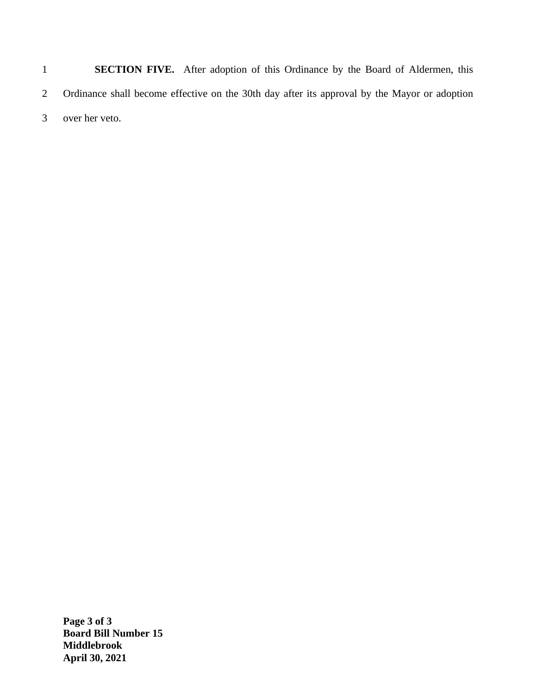1 **SECTION FIVE.** After adoption of this Ordinance by the Board of Aldermen, this 2 Ordinance shall become effective on the 30th day after its approval by the Mayor or adoption 3 over her veto.

**Page 3 of 3 Board Bill Number 15 Middlebrook April 30, 2021**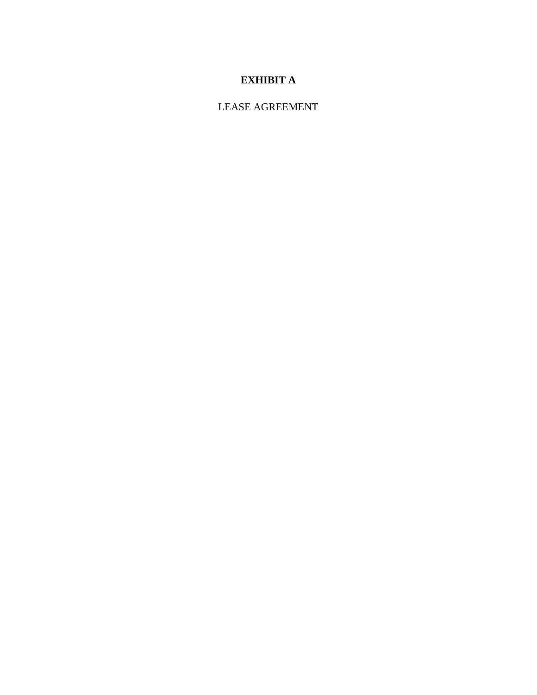# **EXHIBIT A**

LEASE AGREEMENT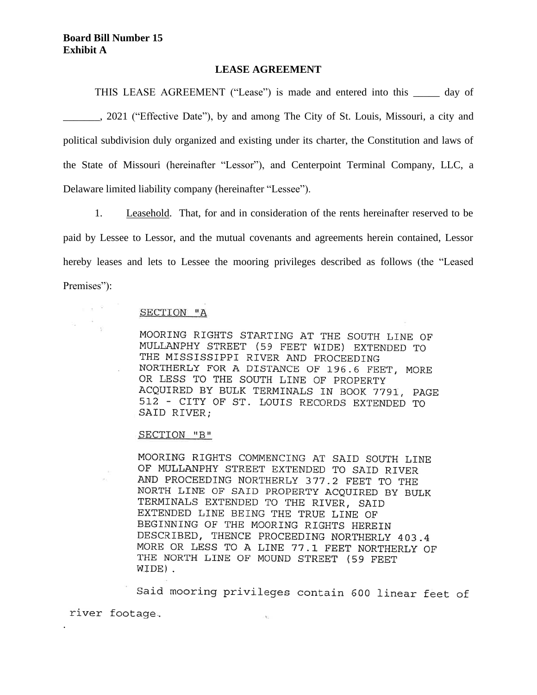$n = 3$ 

#### **LEASE AGREEMENT**

THIS LEASE AGREEMENT ("Lease") is made and entered into this day of \_\_\_\_\_\_\_, 2021 ("Effective Date"), by and among The City of St. Louis, Missouri, a city and political subdivision duly organized and existing under its charter, the Constitution and laws of the State of Missouri (hereinafter "Lessor"), and Centerpoint Terminal Company, LLC, a Delaware limited liability company (hereinafter "Lessee").

1. Leasehold. That, for and in consideration of the rents hereinafter reserved to be paid by Lessee to Lessor, and the mutual covenants and agreements herein contained, Lessor hereby leases and lets to Lessee the mooring privileges described as follows (the "Leased Premises":

#### SECTION "A

MOORING RIGHTS STARTING AT THE SOUTH LINE OF MULLANPHY STREET (59 FEET WIDE) EXTENDED TO THE MISSISSIPPI RIVER AND PROCEEDING NORTHERLY FOR A DISTANCE OF 196.6 FEET, MORE OR LESS TO THE SOUTH LINE OF PROPERTY ACQUIRED BY BULK TERMINALS IN BOOK 7791, PAGE 512 - CITY OF ST. LOUIS RECORDS EXTENDED TO SAID RIVER;

#### SECTION "B"

.

MOORING RIGHTS COMMENCING AT SAID SOUTH LINE OF MULLANPHY STREET EXTENDED TO SAID RIVER AND PROCEEDING NORTHERLY 377.2 FEET TO THE NORTH LINE OF SAID PROPERTY ACQUIRED BY BULK TERMINALS EXTENDED TO THE RIVER, SAID EXTENDED LINE BEING THE TRUE LINE OF BEGINNING OF THE MOORING RIGHTS HEREIN DESCRIBED, THENCE PROCEEDING NORTHERLY 403.4 MORE OR LESS TO A LINE 77.1 FEET NORTHERLY OF THE NORTH LINE OF MOUND STREET (59 FEET WIDE).

Said mooring privileges contain 600 linear feet of river footage.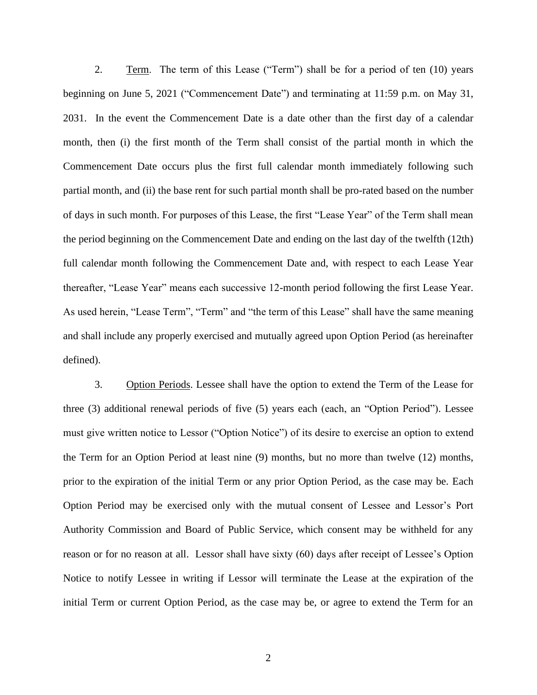2. Term. The term of this Lease ("Term") shall be for a period of ten (10) years beginning on June 5, 2021 ("Commencement Date") and terminating at 11:59 p.m. on May 31, 2031. In the event the Commencement Date is a date other than the first day of a calendar month, then (i) the first month of the Term shall consist of the partial month in which the Commencement Date occurs plus the first full calendar month immediately following such partial month, and (ii) the base rent for such partial month shall be pro-rated based on the number of days in such month. For purposes of this Lease, the first "Lease Year" of the Term shall mean the period beginning on the Commencement Date and ending on the last day of the twelfth (12th) full calendar month following the Commencement Date and, with respect to each Lease Year thereafter, "Lease Year" means each successive 12-month period following the first Lease Year. As used herein, "Lease Term", "Term" and "the term of this Lease" shall have the same meaning and shall include any properly exercised and mutually agreed upon Option Period (as hereinafter defined).

3. Option Periods. Lessee shall have the option to extend the Term of the Lease for three (3) additional renewal periods of five (5) years each (each, an "Option Period"). Lessee must give written notice to Lessor ("Option Notice") of its desire to exercise an option to extend the Term for an Option Period at least nine (9) months, but no more than twelve (12) months, prior to the expiration of the initial Term or any prior Option Period, as the case may be. Each Option Period may be exercised only with the mutual consent of Lessee and Lessor's Port Authority Commission and Board of Public Service, which consent may be withheld for any reason or for no reason at all. Lessor shall have sixty (60) days after receipt of Lessee's Option Notice to notify Lessee in writing if Lessor will terminate the Lease at the expiration of the initial Term or current Option Period, as the case may be, or agree to extend the Term for an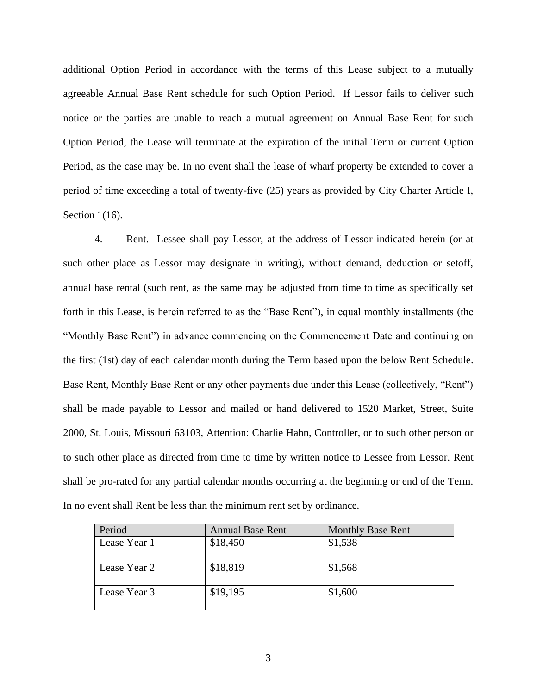additional Option Period in accordance with the terms of this Lease subject to a mutually agreeable Annual Base Rent schedule for such Option Period. If Lessor fails to deliver such notice or the parties are unable to reach a mutual agreement on Annual Base Rent for such Option Period, the Lease will terminate at the expiration of the initial Term or current Option Period, as the case may be. In no event shall the lease of wharf property be extended to cover a period of time exceeding a total of twenty-five (25) years as provided by City Charter Article I, Section 1(16).

4. Rent. Lessee shall pay Lessor, at the address of Lessor indicated herein (or at such other place as Lessor may designate in writing), without demand, deduction or setoff, annual base rental (such rent, as the same may be adjusted from time to time as specifically set forth in this Lease, is herein referred to as the "Base Rent"), in equal monthly installments (the "Monthly Base Rent") in advance commencing on the Commencement Date and continuing on the first (1st) day of each calendar month during the Term based upon the below Rent Schedule. Base Rent, Monthly Base Rent or any other payments due under this Lease (collectively, "Rent") shall be made payable to Lessor and mailed or hand delivered to 1520 Market, Street, Suite 2000, St. Louis, Missouri 63103, Attention: Charlie Hahn, Controller, or to such other person or to such other place as directed from time to time by written notice to Lessee from Lessor. Rent shall be pro-rated for any partial calendar months occurring at the beginning or end of the Term. In no event shall Rent be less than the minimum rent set by ordinance.

| Period       | <b>Annual Base Rent</b> | <b>Monthly Base Rent</b> |
|--------------|-------------------------|--------------------------|
| Lease Year 1 | \$18,450                | \$1,538                  |
|              |                         |                          |
| Lease Year 2 | \$18,819                | \$1,568                  |
| Lease Year 3 | \$19,195                | \$1,600                  |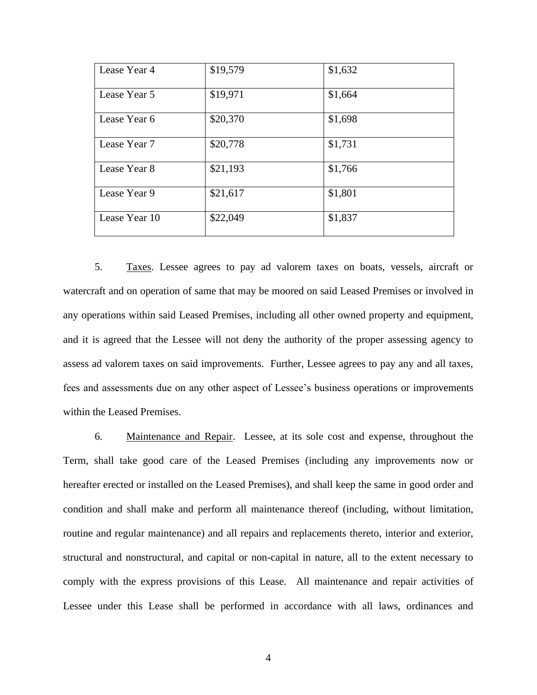| Lease Year 4  | \$19,579 | \$1,632 |
|---------------|----------|---------|
| Lease Year 5  | \$19,971 | \$1,664 |
| Lease Year 6  | \$20,370 | \$1,698 |
| Lease Year 7  | \$20,778 | \$1,731 |
| Lease Year 8  | \$21,193 | \$1,766 |
| Lease Year 9  | \$21,617 | \$1,801 |
| Lease Year 10 | \$22,049 | \$1,837 |

5. Taxes. Lessee agrees to pay ad valorem taxes on boats, vessels, aircraft or watercraft and on operation of same that may be moored on said Leased Premises or involved in any operations within said Leased Premises, including all other owned property and equipment, and it is agreed that the Lessee will not deny the authority of the proper assessing agency to assess ad valorem taxes on said improvements. Further, Lessee agrees to pay any and all taxes, fees and assessments due on any other aspect of Lessee's business operations or improvements within the Leased Premises.

6. Maintenance and Repair. Lessee, at its sole cost and expense, throughout the Term, shall take good care of the Leased Premises (including any improvements now or hereafter erected or installed on the Leased Premises), and shall keep the same in good order and condition and shall make and perform all maintenance thereof (including, without limitation, routine and regular maintenance) and all repairs and replacements thereto, interior and exterior, structural and nonstructural, and capital or non-capital in nature, all to the extent necessary to comply with the express provisions of this Lease. All maintenance and repair activities of Lessee under this Lease shall be performed in accordance with all laws, ordinances and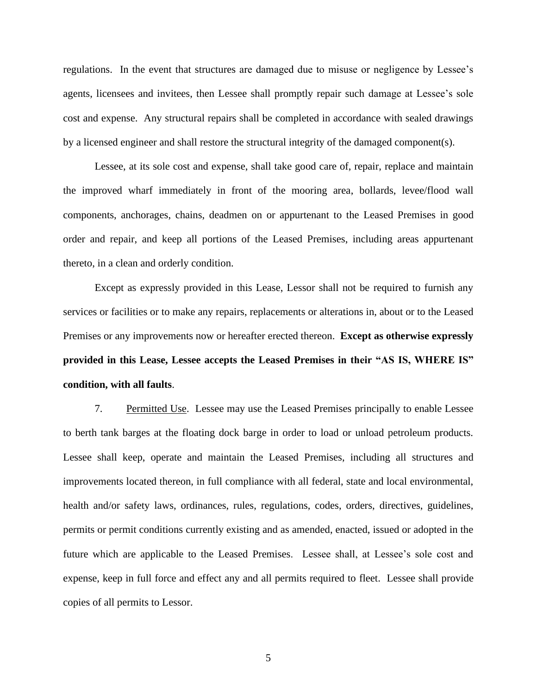regulations. In the event that structures are damaged due to misuse or negligence by Lessee's agents, licensees and invitees, then Lessee shall promptly repair such damage at Lessee's sole cost and expense. Any structural repairs shall be completed in accordance with sealed drawings by a licensed engineer and shall restore the structural integrity of the damaged component(s).

Lessee, at its sole cost and expense, shall take good care of, repair, replace and maintain the improved wharf immediately in front of the mooring area, bollards, levee/flood wall components, anchorages, chains, deadmen on or appurtenant to the Leased Premises in good order and repair, and keep all portions of the Leased Premises, including areas appurtenant thereto, in a clean and orderly condition.

Except as expressly provided in this Lease, Lessor shall not be required to furnish any services or facilities or to make any repairs, replacements or alterations in, about or to the Leased Premises or any improvements now or hereafter erected thereon. **Except as otherwise expressly provided in this Lease, Lessee accepts the Leased Premises in their "AS IS, WHERE IS" condition, with all faults**.

7. Permitted Use. Lessee may use the Leased Premises principally to enable Lessee to berth tank barges at the floating dock barge in order to load or unload petroleum products. Lessee shall keep, operate and maintain the Leased Premises, including all structures and improvements located thereon, in full compliance with all federal, state and local environmental, health and/or safety laws, ordinances, rules, regulations, codes, orders, directives, guidelines, permits or permit conditions currently existing and as amended, enacted, issued or adopted in the future which are applicable to the Leased Premises. Lessee shall, at Lessee's sole cost and expense, keep in full force and effect any and all permits required to fleet. Lessee shall provide copies of all permits to Lessor.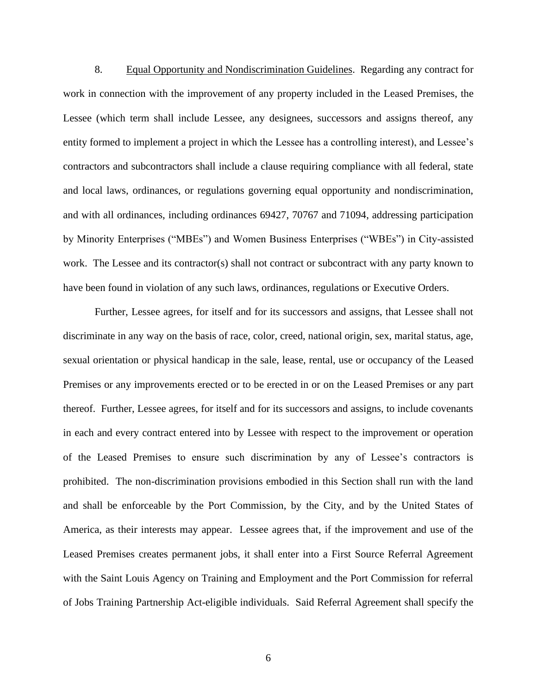8. Equal Opportunity and Nondiscrimination Guidelines. Regarding any contract for work in connection with the improvement of any property included in the Leased Premises, the Lessee (which term shall include Lessee, any designees, successors and assigns thereof, any entity formed to implement a project in which the Lessee has a controlling interest), and Lessee's contractors and subcontractors shall include a clause requiring compliance with all federal, state and local laws, ordinances, or regulations governing equal opportunity and nondiscrimination, and with all ordinances, including ordinances 69427, 70767 and 71094, addressing participation by Minority Enterprises ("MBEs") and Women Business Enterprises ("WBEs") in City-assisted work. The Lessee and its contractor(s) shall not contract or subcontract with any party known to have been found in violation of any such laws, ordinances, regulations or Executive Orders.

Further, Lessee agrees, for itself and for its successors and assigns, that Lessee shall not discriminate in any way on the basis of race, color, creed, national origin, sex, marital status, age, sexual orientation or physical handicap in the sale, lease, rental, use or occupancy of the Leased Premises or any improvements erected or to be erected in or on the Leased Premises or any part thereof. Further, Lessee agrees, for itself and for its successors and assigns, to include covenants in each and every contract entered into by Lessee with respect to the improvement or operation of the Leased Premises to ensure such discrimination by any of Lessee's contractors is prohibited. The non-discrimination provisions embodied in this Section shall run with the land and shall be enforceable by the Port Commission, by the City, and by the United States of America, as their interests may appear. Lessee agrees that, if the improvement and use of the Leased Premises creates permanent jobs, it shall enter into a First Source Referral Agreement with the Saint Louis Agency on Training and Employment and the Port Commission for referral of Jobs Training Partnership Act-eligible individuals. Said Referral Agreement shall specify the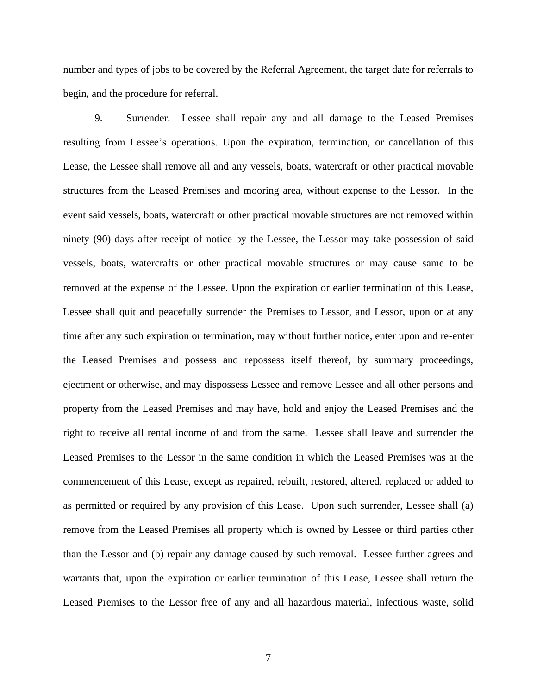number and types of jobs to be covered by the Referral Agreement, the target date for referrals to begin, and the procedure for referral.

9. Surrender. Lessee shall repair any and all damage to the Leased Premises resulting from Lessee's operations. Upon the expiration, termination, or cancellation of this Lease, the Lessee shall remove all and any vessels, boats, watercraft or other practical movable structures from the Leased Premises and mooring area, without expense to the Lessor. In the event said vessels, boats, watercraft or other practical movable structures are not removed within ninety (90) days after receipt of notice by the Lessee, the Lessor may take possession of said vessels, boats, watercrafts or other practical movable structures or may cause same to be removed at the expense of the Lessee. Upon the expiration or earlier termination of this Lease, Lessee shall quit and peacefully surrender the Premises to Lessor, and Lessor, upon or at any time after any such expiration or termination, may without further notice, enter upon and re-enter the Leased Premises and possess and repossess itself thereof, by summary proceedings, ejectment or otherwise, and may dispossess Lessee and remove Lessee and all other persons and property from the Leased Premises and may have, hold and enjoy the Leased Premises and the right to receive all rental income of and from the same. Lessee shall leave and surrender the Leased Premises to the Lessor in the same condition in which the Leased Premises was at the commencement of this Lease, except as repaired, rebuilt, restored, altered, replaced or added to as permitted or required by any provision of this Lease. Upon such surrender, Lessee shall (a) remove from the Leased Premises all property which is owned by Lessee or third parties other than the Lessor and (b) repair any damage caused by such removal. Lessee further agrees and warrants that, upon the expiration or earlier termination of this Lease, Lessee shall return the Leased Premises to the Lessor free of any and all hazardous material, infectious waste, solid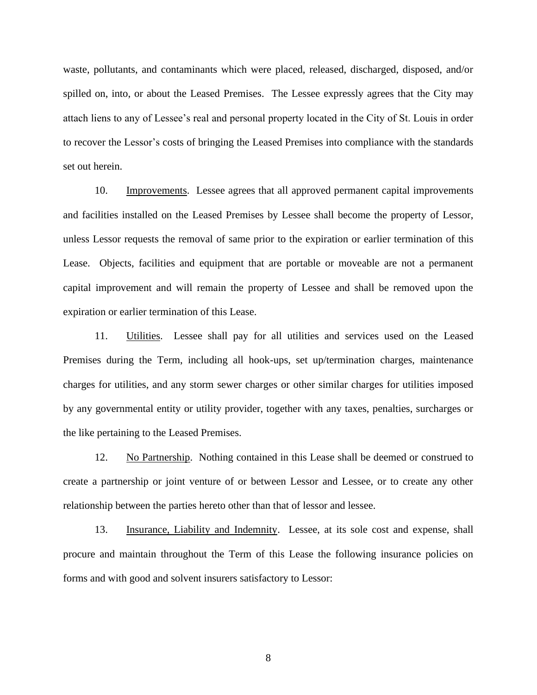waste, pollutants, and contaminants which were placed, released, discharged, disposed, and/or spilled on, into, or about the Leased Premises. The Lessee expressly agrees that the City may attach liens to any of Lessee's real and personal property located in the City of St. Louis in order to recover the Lessor's costs of bringing the Leased Premises into compliance with the standards set out herein.

10. Improvements. Lessee agrees that all approved permanent capital improvements and facilities installed on the Leased Premises by Lessee shall become the property of Lessor, unless Lessor requests the removal of same prior to the expiration or earlier termination of this Lease. Objects, facilities and equipment that are portable or moveable are not a permanent capital improvement and will remain the property of Lessee and shall be removed upon the expiration or earlier termination of this Lease.

11. Utilities. Lessee shall pay for all utilities and services used on the Leased Premises during the Term, including all hook-ups, set up/termination charges, maintenance charges for utilities, and any storm sewer charges or other similar charges for utilities imposed by any governmental entity or utility provider, together with any taxes, penalties, surcharges or the like pertaining to the Leased Premises.

12. No Partnership. Nothing contained in this Lease shall be deemed or construed to create a partnership or joint venture of or between Lessor and Lessee, or to create any other relationship between the parties hereto other than that of lessor and lessee.

13. Insurance, Liability and Indemnity. Lessee, at its sole cost and expense, shall procure and maintain throughout the Term of this Lease the following insurance policies on forms and with good and solvent insurers satisfactory to Lessor: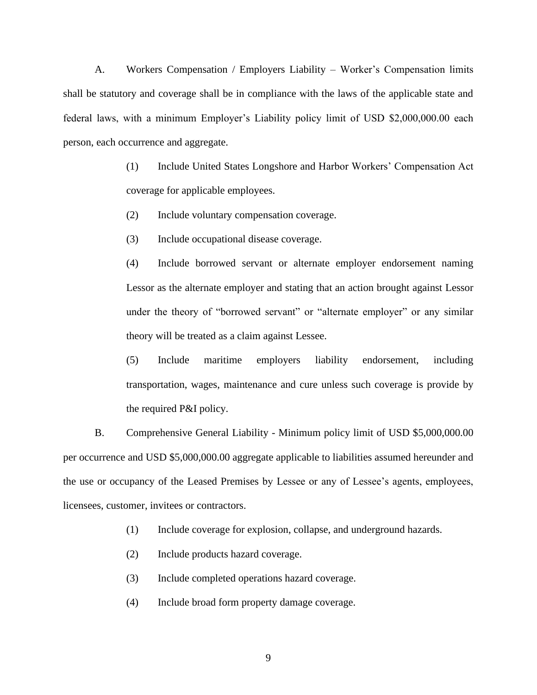A. Workers Compensation / Employers Liability – Worker's Compensation limits shall be statutory and coverage shall be in compliance with the laws of the applicable state and federal laws, with a minimum Employer's Liability policy limit of USD \$2,000,000.00 each person, each occurrence and aggregate.

> (1) Include United States Longshore and Harbor Workers' Compensation Act coverage for applicable employees.

(2) Include voluntary compensation coverage.

(3) Include occupational disease coverage.

(4) Include borrowed servant or alternate employer endorsement naming Lessor as the alternate employer and stating that an action brought against Lessor under the theory of "borrowed servant" or "alternate employer" or any similar theory will be treated as a claim against Lessee.

(5) Include maritime employers liability endorsement, including transportation, wages, maintenance and cure unless such coverage is provide by the required P&I policy.

B. Comprehensive General Liability - Minimum policy limit of USD \$5,000,000.00 per occurrence and USD \$5,000,000.00 aggregate applicable to liabilities assumed hereunder and the use or occupancy of the Leased Premises by Lessee or any of Lessee's agents, employees, licensees, customer, invitees or contractors.

(1) Include coverage for explosion, collapse, and underground hazards.

- (2) Include products hazard coverage.
- (3) Include completed operations hazard coverage.
- (4) Include broad form property damage coverage.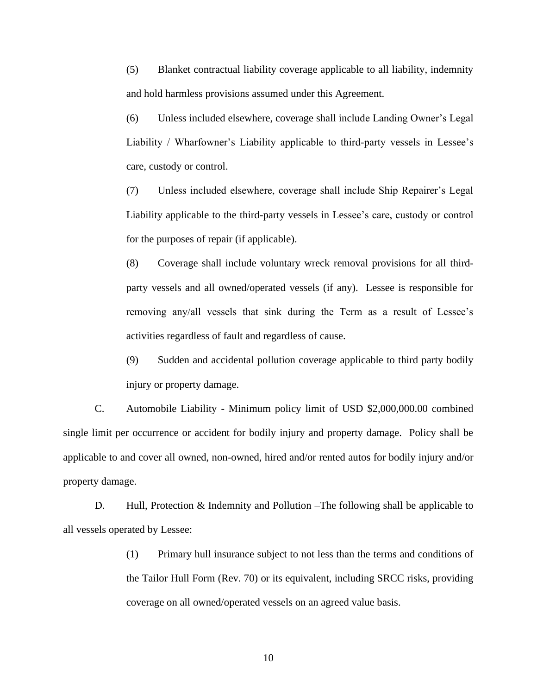(5) Blanket contractual liability coverage applicable to all liability, indemnity and hold harmless provisions assumed under this Agreement.

(6) Unless included elsewhere, coverage shall include Landing Owner's Legal Liability / Wharfowner's Liability applicable to third-party vessels in Lessee's care, custody or control.

(7) Unless included elsewhere, coverage shall include Ship Repairer's Legal Liability applicable to the third-party vessels in Lessee's care, custody or control for the purposes of repair (if applicable).

(8) Coverage shall include voluntary wreck removal provisions for all thirdparty vessels and all owned/operated vessels (if any). Lessee is responsible for removing any/all vessels that sink during the Term as a result of Lessee's activities regardless of fault and regardless of cause.

(9) Sudden and accidental pollution coverage applicable to third party bodily injury or property damage.

C. Automobile Liability - Minimum policy limit of USD \$2,000,000.00 combined single limit per occurrence or accident for bodily injury and property damage. Policy shall be applicable to and cover all owned, non-owned, hired and/or rented autos for bodily injury and/or property damage.

D. Hull, Protection & Indemnity and Pollution –The following shall be applicable to all vessels operated by Lessee:

> (1) Primary hull insurance subject to not less than the terms and conditions of the Tailor Hull Form (Rev. 70) or its equivalent, including SRCC risks, providing coverage on all owned/operated vessels on an agreed value basis.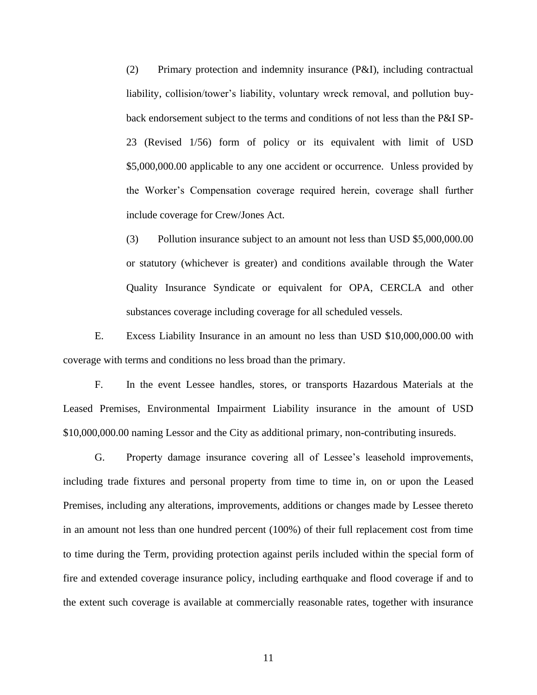(2) Primary protection and indemnity insurance (P&I), including contractual liability, collision/tower's liability, voluntary wreck removal, and pollution buyback endorsement subject to the terms and conditions of not less than the P&I SP-23 (Revised 1/56) form of policy or its equivalent with limit of USD \$5,000,000.00 applicable to any one accident or occurrence. Unless provided by the Worker's Compensation coverage required herein, coverage shall further include coverage for Crew/Jones Act.

(3) Pollution insurance subject to an amount not less than USD \$5,000,000.00 or statutory (whichever is greater) and conditions available through the Water Quality Insurance Syndicate or equivalent for OPA, CERCLA and other substances coverage including coverage for all scheduled vessels.

E. Excess Liability Insurance in an amount no less than USD \$10,000,000.00 with coverage with terms and conditions no less broad than the primary.

F. In the event Lessee handles, stores, or transports Hazardous Materials at the Leased Premises, Environmental Impairment Liability insurance in the amount of USD \$10,000,000.00 naming Lessor and the City as additional primary, non-contributing insureds.

G. Property damage insurance covering all of Lessee's leasehold improvements, including trade fixtures and personal property from time to time in, on or upon the Leased Premises, including any alterations, improvements, additions or changes made by Lessee thereto in an amount not less than one hundred percent (100%) of their full replacement cost from time to time during the Term, providing protection against perils included within the special form of fire and extended coverage insurance policy, including earthquake and flood coverage if and to the extent such coverage is available at commercially reasonable rates, together with insurance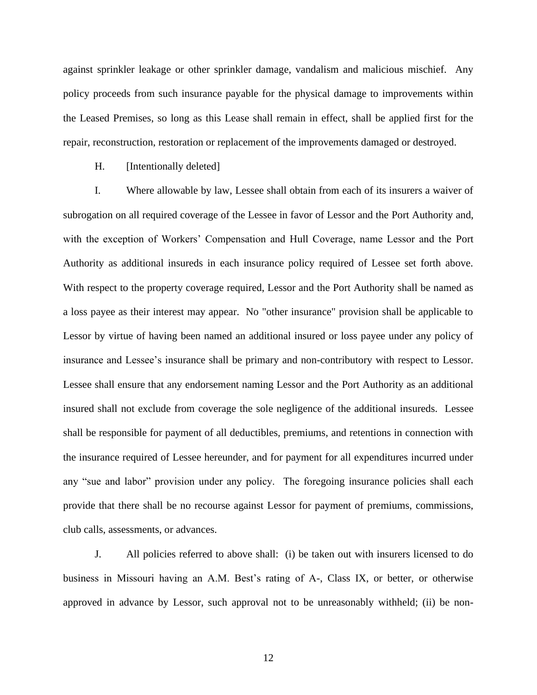against sprinkler leakage or other sprinkler damage, vandalism and malicious mischief. Any policy proceeds from such insurance payable for the physical damage to improvements within the Leased Premises, so long as this Lease shall remain in effect, shall be applied first for the repair, reconstruction, restoration or replacement of the improvements damaged or destroyed.

H. [Intentionally deleted]

I. Where allowable by law, Lessee shall obtain from each of its insurers a waiver of subrogation on all required coverage of the Lessee in favor of Lessor and the Port Authority and, with the exception of Workers' Compensation and Hull Coverage, name Lessor and the Port Authority as additional insureds in each insurance policy required of Lessee set forth above. With respect to the property coverage required, Lessor and the Port Authority shall be named as a loss payee as their interest may appear. No "other insurance" provision shall be applicable to Lessor by virtue of having been named an additional insured or loss payee under any policy of insurance and Lessee's insurance shall be primary and non-contributory with respect to Lessor. Lessee shall ensure that any endorsement naming Lessor and the Port Authority as an additional insured shall not exclude from coverage the sole negligence of the additional insureds. Lessee shall be responsible for payment of all deductibles, premiums, and retentions in connection with the insurance required of Lessee hereunder, and for payment for all expenditures incurred under any "sue and labor" provision under any policy. The foregoing insurance policies shall each provide that there shall be no recourse against Lessor for payment of premiums, commissions, club calls, assessments, or advances.

J. All policies referred to above shall: (i) be taken out with insurers licensed to do business in Missouri having an A.M. Best's rating of A-, Class IX, or better, or otherwise approved in advance by Lessor, such approval not to be unreasonably withheld; (ii) be non-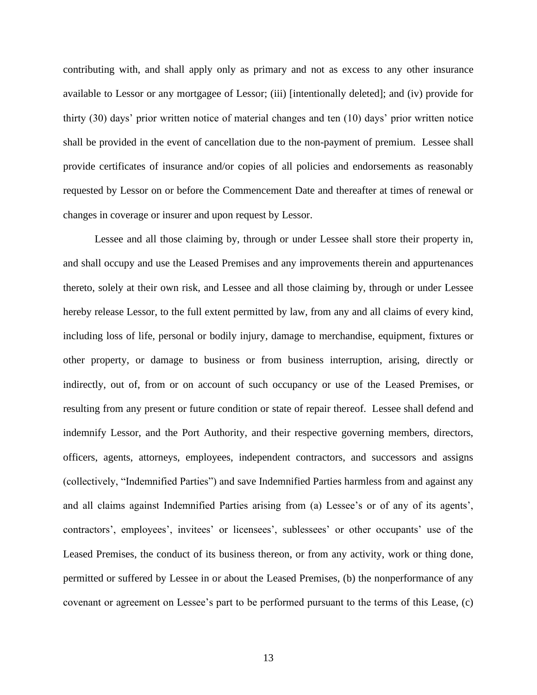contributing with, and shall apply only as primary and not as excess to any other insurance available to Lessor or any mortgagee of Lessor; (iii) [intentionally deleted]; and (iv) provide for thirty (30) days' prior written notice of material changes and ten (10) days' prior written notice shall be provided in the event of cancellation due to the non-payment of premium. Lessee shall provide certificates of insurance and/or copies of all policies and endorsements as reasonably requested by Lessor on or before the Commencement Date and thereafter at times of renewal or changes in coverage or insurer and upon request by Lessor.

Lessee and all those claiming by, through or under Lessee shall store their property in, and shall occupy and use the Leased Premises and any improvements therein and appurtenances thereto, solely at their own risk, and Lessee and all those claiming by, through or under Lessee hereby release Lessor, to the full extent permitted by law, from any and all claims of every kind, including loss of life, personal or bodily injury, damage to merchandise, equipment, fixtures or other property, or damage to business or from business interruption, arising, directly or indirectly, out of, from or on account of such occupancy or use of the Leased Premises, or resulting from any present or future condition or state of repair thereof. Lessee shall defend and indemnify Lessor, and the Port Authority, and their respective governing members, directors, officers, agents, attorneys, employees, independent contractors, and successors and assigns (collectively, "Indemnified Parties") and save Indemnified Parties harmless from and against any and all claims against Indemnified Parties arising from (a) Lessee's or of any of its agents', contractors', employees', invitees' or licensees', sublessees' or other occupants' use of the Leased Premises, the conduct of its business thereon, or from any activity, work or thing done, permitted or suffered by Lessee in or about the Leased Premises, (b) the nonperformance of any covenant or agreement on Lessee's part to be performed pursuant to the terms of this Lease, (c)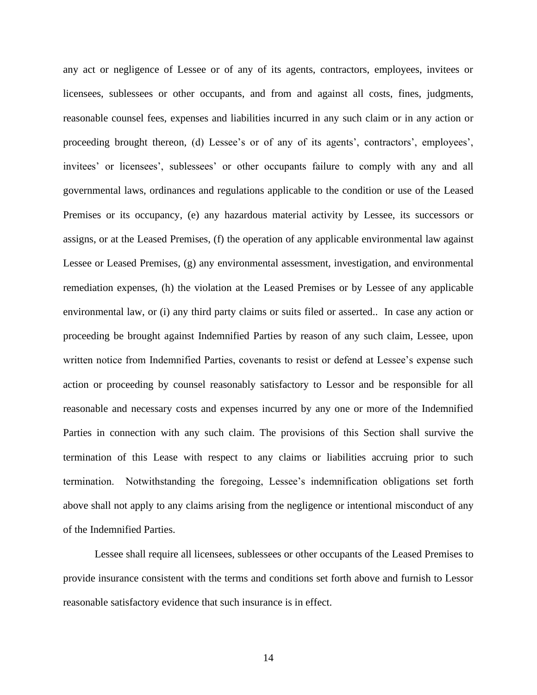any act or negligence of Lessee or of any of its agents, contractors, employees, invitees or licensees, sublessees or other occupants, and from and against all costs, fines, judgments, reasonable counsel fees, expenses and liabilities incurred in any such claim or in any action or proceeding brought thereon, (d) Lessee's or of any of its agents', contractors', employees', invitees' or licensees', sublessees' or other occupants failure to comply with any and all governmental laws, ordinances and regulations applicable to the condition or use of the Leased Premises or its occupancy, (e) any hazardous material activity by Lessee, its successors or assigns, or at the Leased Premises, (f) the operation of any applicable environmental law against Lessee or Leased Premises, (g) any environmental assessment, investigation, and environmental remediation expenses, (h) the violation at the Leased Premises or by Lessee of any applicable environmental law, or (i) any third party claims or suits filed or asserted.. In case any action or proceeding be brought against Indemnified Parties by reason of any such claim, Lessee, upon written notice from Indemnified Parties, covenants to resist or defend at Lessee's expense such action or proceeding by counsel reasonably satisfactory to Lessor and be responsible for all reasonable and necessary costs and expenses incurred by any one or more of the Indemnified Parties in connection with any such claim. The provisions of this Section shall survive the termination of this Lease with respect to any claims or liabilities accruing prior to such termination. Notwithstanding the foregoing, Lessee's indemnification obligations set forth above shall not apply to any claims arising from the negligence or intentional misconduct of any of the Indemnified Parties.

Lessee shall require all licensees, sublessees or other occupants of the Leased Premises to provide insurance consistent with the terms and conditions set forth above and furnish to Lessor reasonable satisfactory evidence that such insurance is in effect.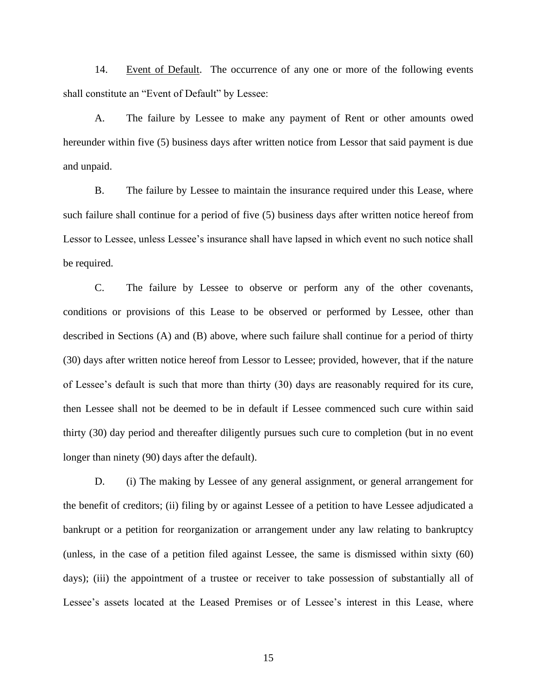14. Event of Default. The occurrence of any one or more of the following events shall constitute an "Event of Default" by Lessee:

<span id="page-19-0"></span>A. The failure by Lessee to make any payment of Rent or other amounts owed hereunder within five (5) business days after written notice from Lessor that said payment is due and unpaid.

<span id="page-19-1"></span>B. The failure by Lessee to maintain the insurance required under this Lease, where such failure shall continue for a period of five (5) business days after written notice hereof from Lessor to Lessee, unless Lessee's insurance shall have lapsed in which event no such notice shall be required.

C. The failure by Lessee to observe or perform any of the other covenants, conditions or provisions of this Lease to be observed or performed by Lessee, other than described in Sections [\(A\)](#page-19-0) and [\(B\)](#page-19-1) above, where such failure shall continue for a period of thirty (30) days after written notice hereof from Lessor to Lessee; provided, however, that if the nature of Lessee's default is such that more than thirty (30) days are reasonably required for its cure, then Lessee shall not be deemed to be in default if Lessee commenced such cure within said thirty (30) day period and thereafter diligently pursues such cure to completion (but in no event longer than ninety (90) days after the default).

D. (i) The making by Lessee of any general assignment, or general arrangement for the benefit of creditors; (ii) filing by or against Lessee of a petition to have Lessee adjudicated a bankrupt or a petition for reorganization or arrangement under any law relating to bankruptcy (unless, in the case of a petition filed against Lessee, the same is dismissed within sixty (60) days); (iii) the appointment of a trustee or receiver to take possession of substantially all of Lessee's assets located at the Leased Premises or of Lessee's interest in this Lease, where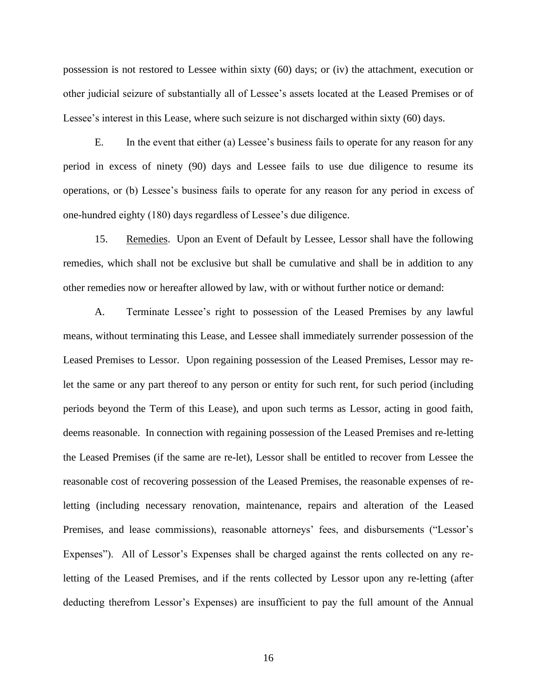possession is not restored to Lessee within sixty (60) days; or (iv) the attachment, execution or other judicial seizure of substantially all of Lessee's assets located at the Leased Premises or of Lessee's interest in this Lease, where such seizure is not discharged within sixty (60) days.

E. In the event that either (a) Lessee's business fails to operate for any reason for any period in excess of ninety (90) days and Lessee fails to use due diligence to resume its operations, or (b) Lessee's business fails to operate for any reason for any period in excess of one-hundred eighty (180) days regardless of Lessee's due diligence.

15. Remedies. Upon an Event of Default by Lessee, Lessor shall have the following remedies, which shall not be exclusive but shall be cumulative and shall be in addition to any other remedies now or hereafter allowed by law, with or without further notice or demand:

A. Terminate Lessee's right to possession of the Leased Premises by any lawful means, without terminating this Lease, and Lessee shall immediately surrender possession of the Leased Premises to Lessor. Upon regaining possession of the Leased Premises, Lessor may relet the same or any part thereof to any person or entity for such rent, for such period (including periods beyond the Term of this Lease), and upon such terms as Lessor, acting in good faith, deems reasonable. In connection with regaining possession of the Leased Premises and re-letting the Leased Premises (if the same are re-let), Lessor shall be entitled to recover from Lessee the reasonable cost of recovering possession of the Leased Premises, the reasonable expenses of reletting (including necessary renovation, maintenance, repairs and alteration of the Leased Premises, and lease commissions), reasonable attorneys' fees, and disbursements ("Lessor's Expenses"). All of Lessor's Expenses shall be charged against the rents collected on any reletting of the Leased Premises, and if the rents collected by Lessor upon any re-letting (after deducting therefrom Lessor's Expenses) are insufficient to pay the full amount of the Annual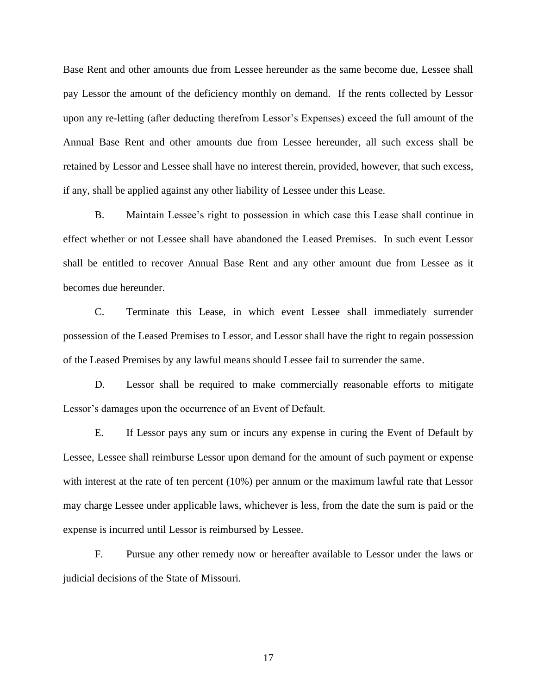Base Rent and other amounts due from Lessee hereunder as the same become due, Lessee shall pay Lessor the amount of the deficiency monthly on demand. If the rents collected by Lessor upon any re-letting (after deducting therefrom Lessor's Expenses) exceed the full amount of the Annual Base Rent and other amounts due from Lessee hereunder, all such excess shall be retained by Lessor and Lessee shall have no interest therein, provided, however, that such excess, if any, shall be applied against any other liability of Lessee under this Lease.

B. Maintain Lessee's right to possession in which case this Lease shall continue in effect whether or not Lessee shall have abandoned the Leased Premises. In such event Lessor shall be entitled to recover Annual Base Rent and any other amount due from Lessee as it becomes due hereunder.

C. Terminate this Lease, in which event Lessee shall immediately surrender possession of the Leased Premises to Lessor, and Lessor shall have the right to regain possession of the Leased Premises by any lawful means should Lessee fail to surrender the same.

D. Lessor shall be required to make commercially reasonable efforts to mitigate Lessor's damages upon the occurrence of an Event of Default.

E. If Lessor pays any sum or incurs any expense in curing the Event of Default by Lessee, Lessee shall reimburse Lessor upon demand for the amount of such payment or expense with interest at the rate of ten percent (10%) per annum or the maximum lawful rate that Lessor may charge Lessee under applicable laws, whichever is less, from the date the sum is paid or the expense is incurred until Lessor is reimbursed by Lessee.

F. Pursue any other remedy now or hereafter available to Lessor under the laws or judicial decisions of the State of Missouri.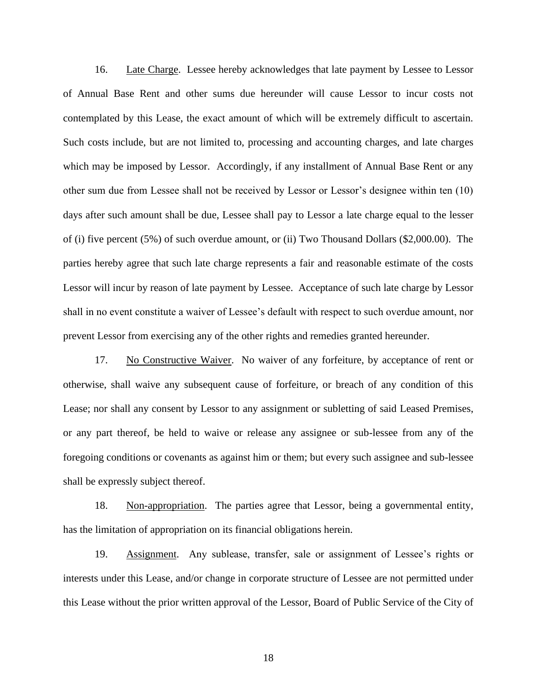16. Late Charge. Lessee hereby acknowledges that late payment by Lessee to Lessor of Annual Base Rent and other sums due hereunder will cause Lessor to incur costs not contemplated by this Lease, the exact amount of which will be extremely difficult to ascertain. Such costs include, but are not limited to, processing and accounting charges, and late charges which may be imposed by Lessor. Accordingly, if any installment of Annual Base Rent or any other sum due from Lessee shall not be received by Lessor or Lessor's designee within ten (10) days after such amount shall be due, Lessee shall pay to Lessor a late charge equal to the lesser of (i) five percent (5%) of such overdue amount, or (ii) Two Thousand Dollars (\$2,000.00). The parties hereby agree that such late charge represents a fair and reasonable estimate of the costs Lessor will incur by reason of late payment by Lessee. Acceptance of such late charge by Lessor shall in no event constitute a waiver of Lessee's default with respect to such overdue amount, nor prevent Lessor from exercising any of the other rights and remedies granted hereunder.

17. No Constructive Waiver. No waiver of any forfeiture, by acceptance of rent or otherwise, shall waive any subsequent cause of forfeiture, or breach of any condition of this Lease; nor shall any consent by Lessor to any assignment or subletting of said Leased Premises, or any part thereof, be held to waive or release any assignee or sub-lessee from any of the foregoing conditions or covenants as against him or them; but every such assignee and sub-lessee shall be expressly subject thereof.

18. Non-appropriation. The parties agree that Lessor, being a governmental entity, has the limitation of appropriation on its financial obligations herein.

19. Assignment. Any sublease, transfer, sale or assignment of Lessee's rights or interests under this Lease, and/or change in corporate structure of Lessee are not permitted under this Lease without the prior written approval of the Lessor, Board of Public Service of the City of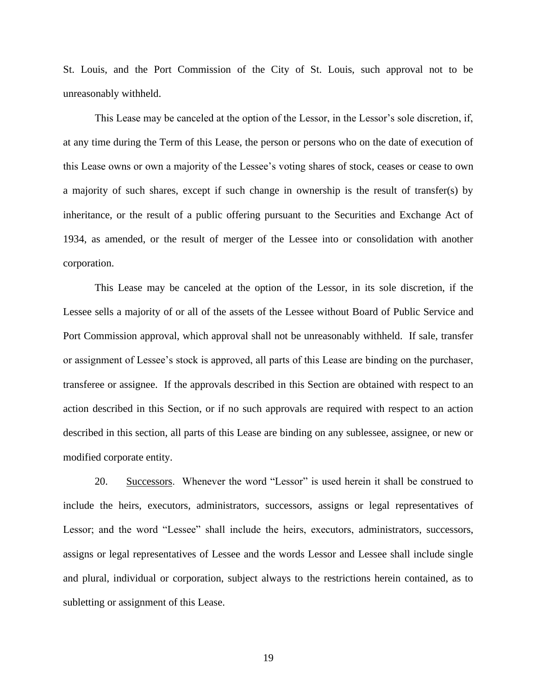St. Louis, and the Port Commission of the City of St. Louis, such approval not to be unreasonably withheld.

This Lease may be canceled at the option of the Lessor, in the Lessor's sole discretion, if, at any time during the Term of this Lease, the person or persons who on the date of execution of this Lease owns or own a majority of the Lessee's voting shares of stock, ceases or cease to own a majority of such shares, except if such change in ownership is the result of transfer(s) by inheritance, or the result of a public offering pursuant to the Securities and Exchange Act of 1934, as amended, or the result of merger of the Lessee into or consolidation with another corporation.

This Lease may be canceled at the option of the Lessor, in its sole discretion, if the Lessee sells a majority of or all of the assets of the Lessee without Board of Public Service and Port Commission approval, which approval shall not be unreasonably withheld. If sale, transfer or assignment of Lessee's stock is approved, all parts of this Lease are binding on the purchaser, transferee or assignee. If the approvals described in this Section are obtained with respect to an action described in this Section, or if no such approvals are required with respect to an action described in this section, all parts of this Lease are binding on any sublessee, assignee, or new or modified corporate entity.

20. Successors. Whenever the word "Lessor" is used herein it shall be construed to include the heirs, executors, administrators, successors, assigns or legal representatives of Lessor; and the word "Lessee" shall include the heirs, executors, administrators, successors, assigns or legal representatives of Lessee and the words Lessor and Lessee shall include single and plural, individual or corporation, subject always to the restrictions herein contained, as to subletting or assignment of this Lease.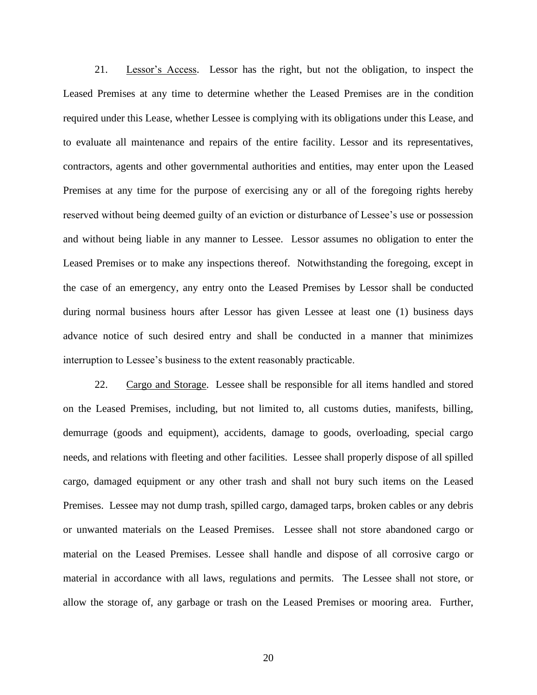21. Lessor's Access. Lessor has the right, but not the obligation, to inspect the Leased Premises at any time to determine whether the Leased Premises are in the condition required under this Lease, whether Lessee is complying with its obligations under this Lease, and to evaluate all maintenance and repairs of the entire facility. Lessor and its representatives, contractors, agents and other governmental authorities and entities, may enter upon the Leased Premises at any time for the purpose of exercising any or all of the foregoing rights hereby reserved without being deemed guilty of an eviction or disturbance of Lessee's use or possession and without being liable in any manner to Lessee. Lessor assumes no obligation to enter the Leased Premises or to make any inspections thereof. Notwithstanding the foregoing, except in the case of an emergency, any entry onto the Leased Premises by Lessor shall be conducted during normal business hours after Lessor has given Lessee at least one (1) business days advance notice of such desired entry and shall be conducted in a manner that minimizes interruption to Lessee's business to the extent reasonably practicable.

22. Cargo and Storage. Lessee shall be responsible for all items handled and stored on the Leased Premises, including, but not limited to, all customs duties, manifests, billing, demurrage (goods and equipment), accidents, damage to goods, overloading, special cargo needs, and relations with fleeting and other facilities. Lessee shall properly dispose of all spilled cargo, damaged equipment or any other trash and shall not bury such items on the Leased Premises. Lessee may not dump trash, spilled cargo, damaged tarps, broken cables or any debris or unwanted materials on the Leased Premises. Lessee shall not store abandoned cargo or material on the Leased Premises. Lessee shall handle and dispose of all corrosive cargo or material in accordance with all laws, regulations and permits. The Lessee shall not store, or allow the storage of, any garbage or trash on the Leased Premises or mooring area. Further,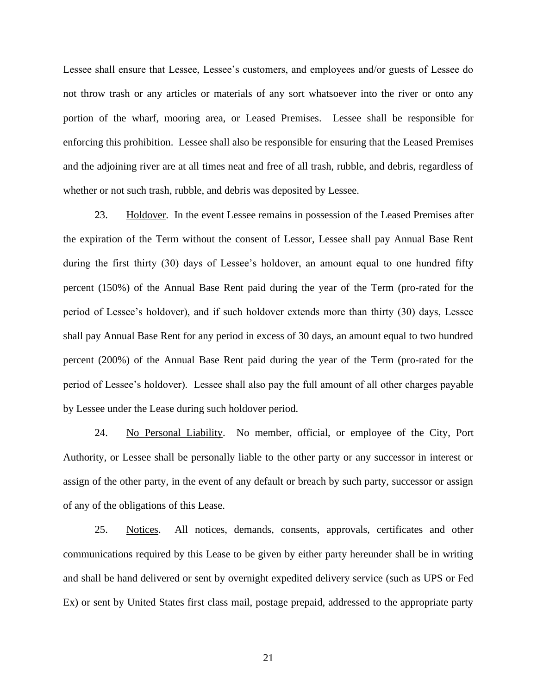Lessee shall ensure that Lessee, Lessee's customers, and employees and/or guests of Lessee do not throw trash or any articles or materials of any sort whatsoever into the river or onto any portion of the wharf, mooring area, or Leased Premises. Lessee shall be responsible for enforcing this prohibition. Lessee shall also be responsible for ensuring that the Leased Premises and the adjoining river are at all times neat and free of all trash, rubble, and debris, regardless of whether or not such trash, rubble, and debris was deposited by Lessee.

23. Holdover. In the event Lessee remains in possession of the Leased Premises after the expiration of the Term without the consent of Lessor, Lessee shall pay Annual Base Rent during the first thirty (30) days of Lessee's holdover, an amount equal to one hundred fifty percent (150%) of the Annual Base Rent paid during the year of the Term (pro-rated for the period of Lessee's holdover), and if such holdover extends more than thirty (30) days, Lessee shall pay Annual Base Rent for any period in excess of 30 days, an amount equal to two hundred percent (200%) of the Annual Base Rent paid during the year of the Term (pro-rated for the period of Lessee's holdover). Lessee shall also pay the full amount of all other charges payable by Lessee under the Lease during such holdover period.

24. No Personal Liability. No member, official, or employee of the City, Port Authority, or Lessee shall be personally liable to the other party or any successor in interest or assign of the other party, in the event of any default or breach by such party, successor or assign of any of the obligations of this Lease.

25. Notices. All notices, demands, consents, approvals, certificates and other communications required by this Lease to be given by either party hereunder shall be in writing and shall be hand delivered or sent by overnight expedited delivery service (such as UPS or Fed Ex) or sent by United States first class mail, postage prepaid, addressed to the appropriate party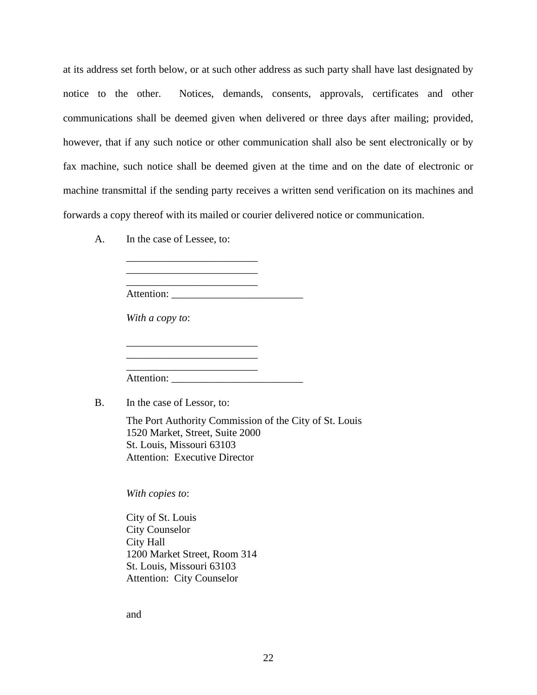at its address set forth below, or at such other address as such party shall have last designated by notice to the other. Notices, demands, consents, approvals, certificates and other communications shall be deemed given when delivered or three days after mailing; provided, however, that if any such notice or other communication shall also be sent electronically or by fax machine, such notice shall be deemed given at the time and on the date of electronic or machine transmittal if the sending party receives a written send verification on its machines and forwards a copy thereof with its mailed or courier delivered notice or communication.

A. In the case of Lessee, to:

\_\_\_\_\_\_\_\_\_\_\_\_\_\_\_\_\_\_\_\_\_\_\_\_\_ \_\_\_\_\_\_\_\_\_\_\_\_\_\_\_\_\_\_\_\_\_\_\_\_\_

| Attention:                 |  |
|----------------------------|--|
| With a copy to:            |  |
|                            |  |
|                            |  |
| Attention:                 |  |
| In the case of Lessor, to: |  |

The Port Authority Commission of the City of St. Louis 1520 Market, Street, Suite 2000 St. Louis, Missouri 63103 Attention: Executive Director

*With copies to*:

City of St. Louis City Counselor City Hall 1200 Market Street, Room 314 St. Louis, Missouri 63103 Attention: City Counselor

and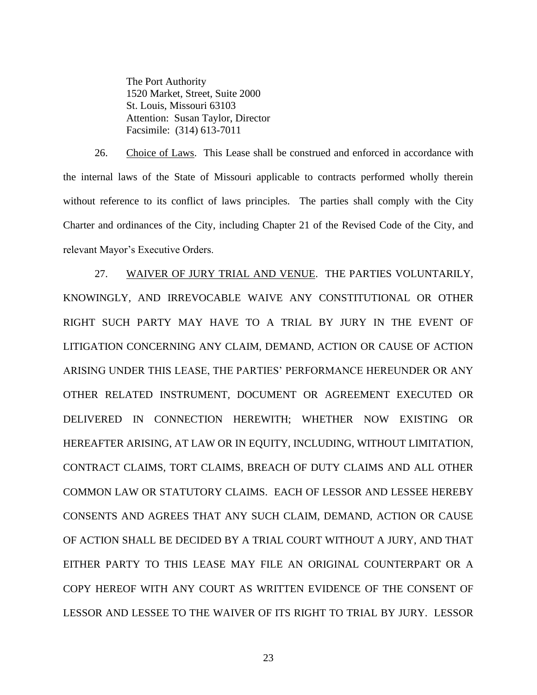The Port Authority 1520 Market, Street, Suite 2000 St. Louis, Missouri 63103 Attention: Susan Taylor, Director Facsimile: (314) 613-7011

26. Choice of Laws. This Lease shall be construed and enforced in accordance with the internal laws of the State of Missouri applicable to contracts performed wholly therein without reference to its conflict of laws principles. The parties shall comply with the City Charter and ordinances of the City, including Chapter 21 of the Revised Code of the City, and relevant Mayor's Executive Orders.

27. WAIVER OF JURY TRIAL AND VENUE. THE PARTIES VOLUNTARILY, KNOWINGLY, AND IRREVOCABLE WAIVE ANY CONSTITUTIONAL OR OTHER RIGHT SUCH PARTY MAY HAVE TO A TRIAL BY JURY IN THE EVENT OF LITIGATION CONCERNING ANY CLAIM, DEMAND, ACTION OR CAUSE OF ACTION ARISING UNDER THIS LEASE, THE PARTIES' PERFORMANCE HEREUNDER OR ANY OTHER RELATED INSTRUMENT, DOCUMENT OR AGREEMENT EXECUTED OR DELIVERED IN CONNECTION HEREWITH; WHETHER NOW EXISTING OR HEREAFTER ARISING, AT LAW OR IN EQUITY, INCLUDING, WITHOUT LIMITATION, CONTRACT CLAIMS, TORT CLAIMS, BREACH OF DUTY CLAIMS AND ALL OTHER COMMON LAW OR STATUTORY CLAIMS. EACH OF LESSOR AND LESSEE HEREBY CONSENTS AND AGREES THAT ANY SUCH CLAIM, DEMAND, ACTION OR CAUSE OF ACTION SHALL BE DECIDED BY A TRIAL COURT WITHOUT A JURY, AND THAT EITHER PARTY TO THIS LEASE MAY FILE AN ORIGINAL COUNTERPART OR A COPY HEREOF WITH ANY COURT AS WRITTEN EVIDENCE OF THE CONSENT OF LESSOR AND LESSEE TO THE WAIVER OF ITS RIGHT TO TRIAL BY JURY. LESSOR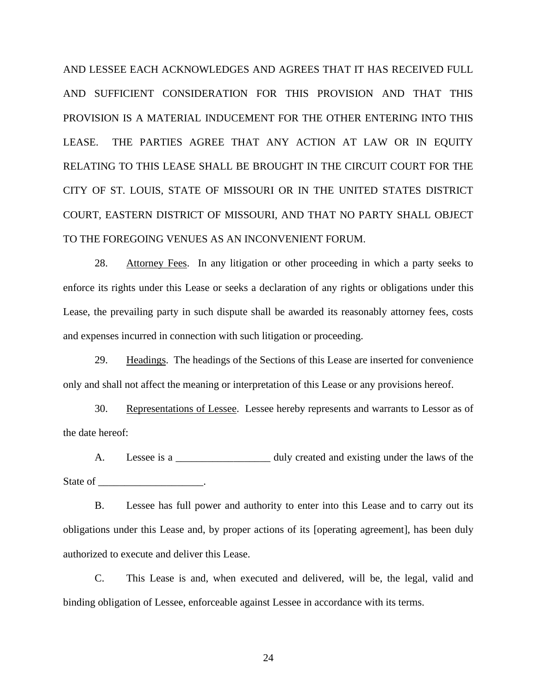AND LESSEE EACH ACKNOWLEDGES AND AGREES THAT IT HAS RECEIVED FULL AND SUFFICIENT CONSIDERATION FOR THIS PROVISION AND THAT THIS PROVISION IS A MATERIAL INDUCEMENT FOR THE OTHER ENTERING INTO THIS LEASE. THE PARTIES AGREE THAT ANY ACTION AT LAW OR IN EQUITY RELATING TO THIS LEASE SHALL BE BROUGHT IN THE CIRCUIT COURT FOR THE CITY OF ST. LOUIS, STATE OF MISSOURI OR IN THE UNITED STATES DISTRICT COURT, EASTERN DISTRICT OF MISSOURI, AND THAT NO PARTY SHALL OBJECT TO THE FOREGOING VENUES AS AN INCONVENIENT FORUM.

28. Attorney Fees. In any litigation or other proceeding in which a party seeks to enforce its rights under this Lease or seeks a declaration of any rights or obligations under this Lease, the prevailing party in such dispute shall be awarded its reasonably attorney fees, costs and expenses incurred in connection with such litigation or proceeding.

29. Headings. The headings of the Sections of this Lease are inserted for convenience only and shall not affect the meaning or interpretation of this Lease or any provisions hereof.

30. Representations of Lessee. Lessee hereby represents and warrants to Lessor as of the date hereof:

A. Lessee is a \_\_\_\_\_\_\_\_\_\_\_\_\_\_\_\_\_\_ duly created and existing under the laws of the State of \_\_\_\_\_\_\_\_\_\_\_\_\_\_\_\_\_\_\_\_\_\_\_\_\_.

B. Lessee has full power and authority to enter into this Lease and to carry out its obligations under this Lease and, by proper actions of its [operating agreement], has been duly authorized to execute and deliver this Lease.

C. This Lease is and, when executed and delivered, will be, the legal, valid and binding obligation of Lessee, enforceable against Lessee in accordance with its terms.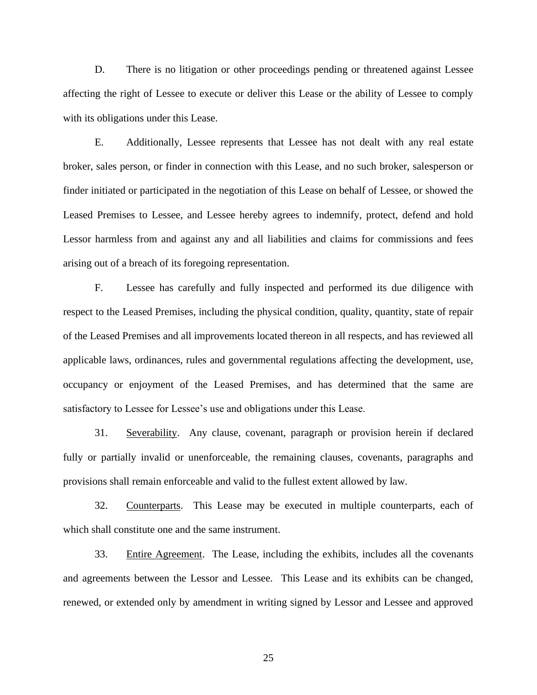D. There is no litigation or other proceedings pending or threatened against Lessee affecting the right of Lessee to execute or deliver this Lease or the ability of Lessee to comply with its obligations under this Lease.

E. Additionally, Lessee represents that Lessee has not dealt with any real estate broker, sales person, or finder in connection with this Lease, and no such broker, salesperson or finder initiated or participated in the negotiation of this Lease on behalf of Lessee, or showed the Leased Premises to Lessee, and Lessee hereby agrees to indemnify, protect, defend and hold Lessor harmless from and against any and all liabilities and claims for commissions and fees arising out of a breach of its foregoing representation.

F. Lessee has carefully and fully inspected and performed its due diligence with respect to the Leased Premises, including the physical condition, quality, quantity, state of repair of the Leased Premises and all improvements located thereon in all respects, and has reviewed all applicable laws, ordinances, rules and governmental regulations affecting the development, use, occupancy or enjoyment of the Leased Premises, and has determined that the same are satisfactory to Lessee for Lessee's use and obligations under this Lease.

31. Severability. Any clause, covenant, paragraph or provision herein if declared fully or partially invalid or unenforceable, the remaining clauses, covenants, paragraphs and provisions shall remain enforceable and valid to the fullest extent allowed by law.

32. Counterparts. This Lease may be executed in multiple counterparts, each of which shall constitute one and the same instrument.

33. Entire Agreement. The Lease, including the exhibits, includes all the covenants and agreements between the Lessor and Lessee. This Lease and its exhibits can be changed, renewed, or extended only by amendment in writing signed by Lessor and Lessee and approved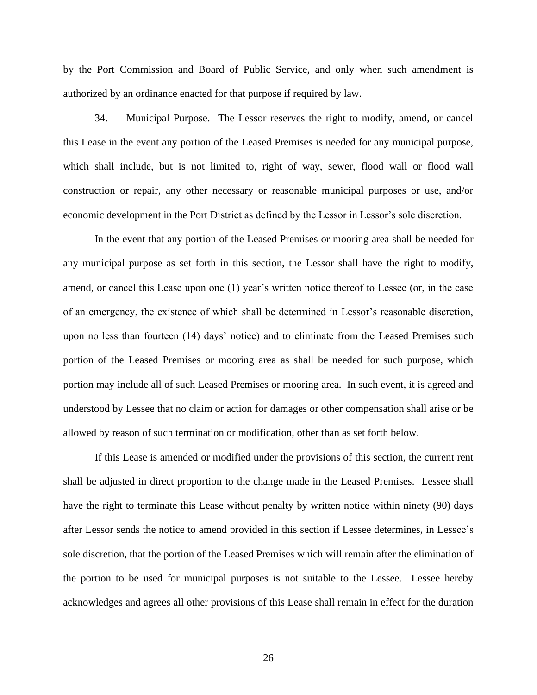by the Port Commission and Board of Public Service, and only when such amendment is authorized by an ordinance enacted for that purpose if required by law.

34. Municipal Purpose. The Lessor reserves the right to modify, amend, or cancel this Lease in the event any portion of the Leased Premises is needed for any municipal purpose, which shall include, but is not limited to, right of way, sewer, flood wall or flood wall construction or repair, any other necessary or reasonable municipal purposes or use, and/or economic development in the Port District as defined by the Lessor in Lessor's sole discretion.

In the event that any portion of the Leased Premises or mooring area shall be needed for any municipal purpose as set forth in this section, the Lessor shall have the right to modify, amend, or cancel this Lease upon one (1) year's written notice thereof to Lessee (or, in the case of an emergency, the existence of which shall be determined in Lessor's reasonable discretion, upon no less than fourteen (14) days' notice) and to eliminate from the Leased Premises such portion of the Leased Premises or mooring area as shall be needed for such purpose, which portion may include all of such Leased Premises or mooring area. In such event, it is agreed and understood by Lessee that no claim or action for damages or other compensation shall arise or be allowed by reason of such termination or modification, other than as set forth below.

If this Lease is amended or modified under the provisions of this section, the current rent shall be adjusted in direct proportion to the change made in the Leased Premises. Lessee shall have the right to terminate this Lease without penalty by written notice within ninety (90) days after Lessor sends the notice to amend provided in this section if Lessee determines, in Lessee's sole discretion, that the portion of the Leased Premises which will remain after the elimination of the portion to be used for municipal purposes is not suitable to the Lessee. Lessee hereby acknowledges and agrees all other provisions of this Lease shall remain in effect for the duration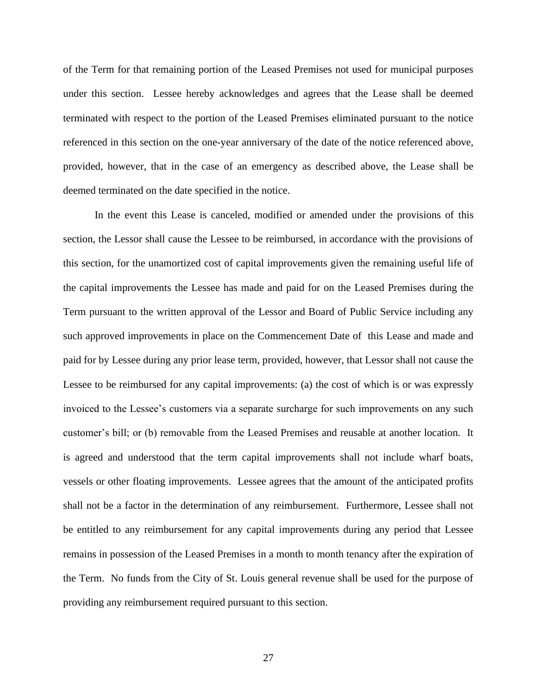of the Term for that remaining portion of the Leased Premises not used for municipal purposes under this section. Lessee hereby acknowledges and agrees that the Lease shall be deemed terminated with respect to the portion of the Leased Premises eliminated pursuant to the notice referenced in this section on the one-year anniversary of the date of the notice referenced above, provided, however, that in the case of an emergency as described above, the Lease shall be deemed terminated on the date specified in the notice.

In the event this Lease is canceled, modified or amended under the provisions of this section, the Lessor shall cause the Lessee to be reimbursed, in accordance with the provisions of this section, for the unamortized cost of capital improvements given the remaining useful life of the capital improvements the Lessee has made and paid for on the Leased Premises during the Term pursuant to the written approval of the Lessor and Board of Public Service including any such approved improvements in place on the Commencement Date of this Lease and made and paid for by Lessee during any prior lease term, provided, however, that Lessor shall not cause the Lessee to be reimbursed for any capital improvements: (a) the cost of which is or was expressly invoiced to the Lessee's customers via a separate surcharge for such improvements on any such customer's bill; or (b) removable from the Leased Premises and reusable at another location. It is agreed and understood that the term capital improvements shall not include wharf boats, vessels or other floating improvements. Lessee agrees that the amount of the anticipated profits shall not be a factor in the determination of any reimbursement. Furthermore, Lessee shall not be entitled to any reimbursement for any capital improvements during any period that Lessee remains in possession of the Leased Premises in a month to month tenancy after the expiration of the Term. No funds from the City of St. Louis general revenue shall be used for the purpose of providing any reimbursement required pursuant to this section.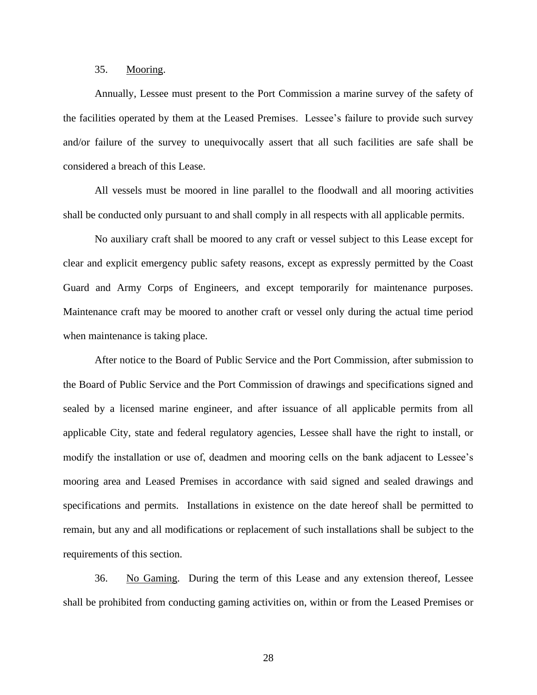#### 35. Mooring.

Annually, Lessee must present to the Port Commission a marine survey of the safety of the facilities operated by them at the Leased Premises. Lessee's failure to provide such survey and/or failure of the survey to unequivocally assert that all such facilities are safe shall be considered a breach of this Lease.

All vessels must be moored in line parallel to the floodwall and all mooring activities shall be conducted only pursuant to and shall comply in all respects with all applicable permits.

No auxiliary craft shall be moored to any craft or vessel subject to this Lease except for clear and explicit emergency public safety reasons, except as expressly permitted by the Coast Guard and Army Corps of Engineers, and except temporarily for maintenance purposes. Maintenance craft may be moored to another craft or vessel only during the actual time period when maintenance is taking place.

After notice to the Board of Public Service and the Port Commission, after submission to the Board of Public Service and the Port Commission of drawings and specifications signed and sealed by a licensed marine engineer, and after issuance of all applicable permits from all applicable City, state and federal regulatory agencies, Lessee shall have the right to install, or modify the installation or use of, deadmen and mooring cells on the bank adjacent to Lessee's mooring area and Leased Premises in accordance with said signed and sealed drawings and specifications and permits. Installations in existence on the date hereof shall be permitted to remain, but any and all modifications or replacement of such installations shall be subject to the requirements of this section.

36. No Gaming. During the term of this Lease and any extension thereof, Lessee shall be prohibited from conducting gaming activities on, within or from the Leased Premises or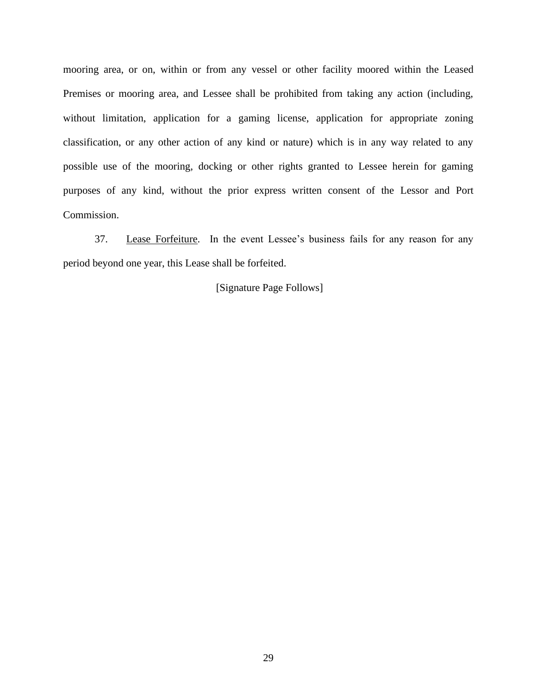mooring area, or on, within or from any vessel or other facility moored within the Leased Premises or mooring area, and Lessee shall be prohibited from taking any action (including, without limitation, application for a gaming license, application for appropriate zoning classification, or any other action of any kind or nature) which is in any way related to any possible use of the mooring, docking or other rights granted to Lessee herein for gaming purposes of any kind, without the prior express written consent of the Lessor and Port Commission.

37. Lease Forfeiture. In the event Lessee's business fails for any reason for any period beyond one year, this Lease shall be forfeited.

[Signature Page Follows]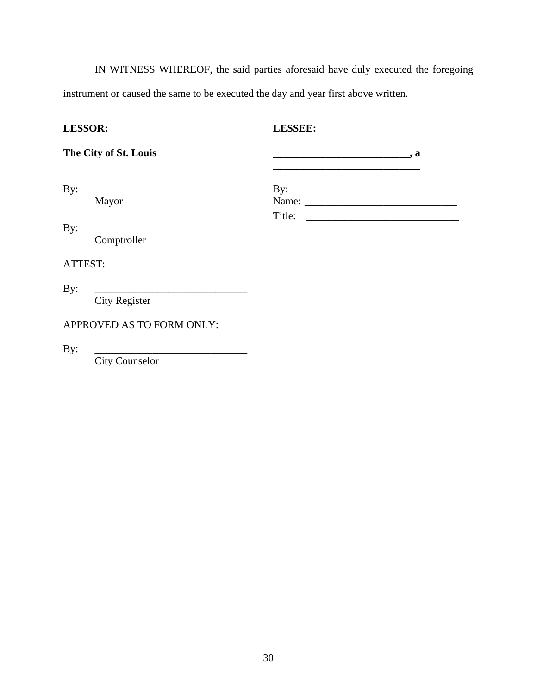IN WITNESS WHEREOF, the said parties aforesaid have duly executed the foregoing instrument or caused the same to be executed the day and year first above written.

# **LESSOR: LESSEE:**

| The City of St. Louis        |                     |
|------------------------------|---------------------|
| By: $\qquad \qquad$<br>Mayor | By: $\qquad \qquad$ |
| By: $\qquad \qquad$          |                     |
| Comptroller                  |                     |
| ATTEST:                      |                     |
| By:                          |                     |
| <b>City Register</b>         |                     |
| APPROVED AS TO FORM ONLY:    |                     |
| By:                          |                     |
| <b>City Counselor</b>        |                     |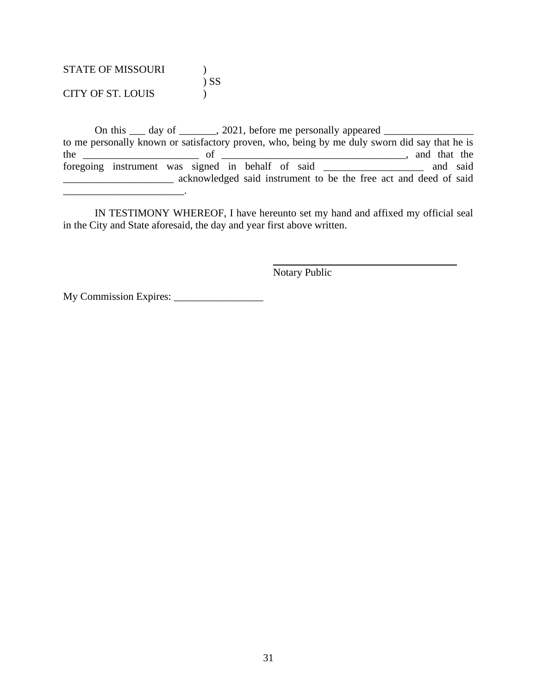STATE OF MISSOURI (1975) ) SS CITY OF ST. LOUIS )

\_\_\_\_\_\_\_\_\_\_\_\_\_\_\_\_\_\_\_\_\_\_\_.

On this  $\Box$  day of  $\Box$ , 2021, before me personally appeared  $\Box$ to me personally known or satisfactory proven, who, being by me duly sworn did say that he is the  $\frac{1}{\sqrt{1-\frac{1}{\sqrt{1-\frac{1}{\sqrt{1-\frac{1}{\sqrt{1-\frac{1}{\sqrt{1-\frac{1}{\sqrt{1-\frac{1}{\sqrt{1-\frac{1}{\sqrt{1-\frac{1}{\sqrt{1-\frac{1}{\sqrt{1-\frac{1}{\sqrt{1-\frac{1}{\sqrt{1-\frac{1}{\sqrt{1-\frac{1}{\sqrt{1-\frac{1}{\sqrt{1-\frac{1}{\sqrt{1-\frac{1}{\sqrt{1-\frac{1}{\sqrt{1-\frac{1}{\sqrt{1-\frac{1}{\sqrt{1-\frac{1}{\sqrt{1-\frac{1}{\sqrt{1-\frac{1}{\sqrt{1-\frac{1}{\sqrt{1$ foregoing instrument was signed in behalf of said \_\_\_\_\_\_\_\_\_\_\_\_\_\_\_\_\_\_\_ and said \_\_\_\_\_\_\_\_\_\_\_\_\_\_\_\_\_\_\_\_\_ acknowledged said instrument to be the free act and deed of said

IN TESTIMONY WHEREOF, I have hereunto set my hand and affixed my official seal in the City and State aforesaid, the day and year first above written.

Notary Public

My Commission Expires: \_\_\_\_\_\_\_\_\_\_\_\_\_\_\_\_\_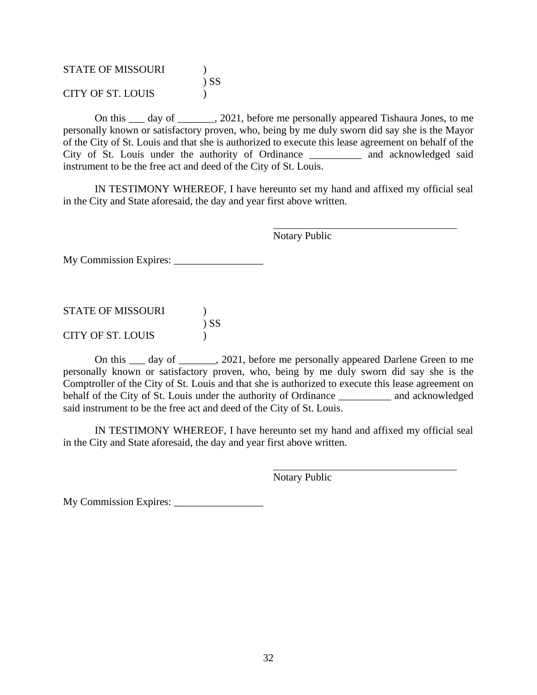STATE OF MISSOURI (1975) ) SS CITY OF ST. LOUIS )

On this \_\_\_ day of \_\_\_\_\_\_\_, 2021, before me personally appeared Tishaura Jones, to me personally known or satisfactory proven, who, being by me duly sworn did say she is the Mayor of the City of St. Louis and that she is authorized to execute this lease agreement on behalf of the City of St. Louis under the authority of Ordinance \_\_\_\_\_\_\_\_\_\_ and acknowledged said instrument to be the free act and deed of the City of St. Louis.

IN TESTIMONY WHEREOF, I have hereunto set my hand and affixed my official seal in the City and State aforesaid, the day and year first above written.

Notary Public

My Commission Expires: \_\_\_\_\_\_\_\_\_\_\_\_\_\_\_\_\_

| <b>STATE OF MISSOURI</b> |        |
|--------------------------|--------|
|                          | $)$ SS |
| CITY OF ST. LOUIS        |        |

On this \_\_\_ day of \_\_\_\_\_\_\_, 2021, before me personally appeared Darlene Green to me personally known or satisfactory proven, who, being by me duly sworn did say she is the Comptroller of the City of St. Louis and that she is authorized to execute this lease agreement on behalf of the City of St. Louis under the authority of Ordinance \_\_\_\_\_\_\_\_\_\_ and acknowledged said instrument to be the free act and deed of the City of St. Louis.

IN TESTIMONY WHEREOF, I have hereunto set my hand and affixed my official seal in the City and State aforesaid, the day and year first above written.

Notary Public

My Commission Expires: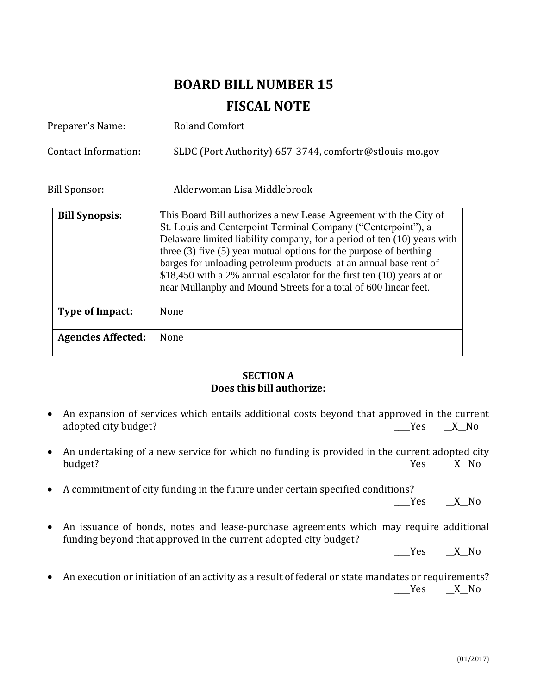# **BOARD BILL NUMBER 15**

# **FISCAL NOTE**

| Preparer's Name:          | <b>Roland Comfort</b>                                                                                                                                                                                                                                                                                                                                                                                                                                                                                      |
|---------------------------|------------------------------------------------------------------------------------------------------------------------------------------------------------------------------------------------------------------------------------------------------------------------------------------------------------------------------------------------------------------------------------------------------------------------------------------------------------------------------------------------------------|
| Contact Information:      | SLDC (Port Authority) 657-3744, comfortr@stlouis-mo.gov                                                                                                                                                                                                                                                                                                                                                                                                                                                    |
| Bill Sponsor:             | Alderwoman Lisa Middlebrook                                                                                                                                                                                                                                                                                                                                                                                                                                                                                |
| <b>Bill Synopsis:</b>     | This Board Bill authorizes a new Lease Agreement with the City of<br>St. Louis and Centerpoint Terminal Company ("Centerpoint"), a<br>Delaware limited liability company, for a period of ten (10) years with<br>three $(3)$ five $(5)$ year mutual options for the purpose of berthing<br>barges for unloading petroleum products at an annual base rent of<br>\$18,450 with a 2% annual escalator for the first ten (10) years at or<br>near Mullanphy and Mound Streets for a total of 600 linear feet. |
| Type of Impact:           | None                                                                                                                                                                                                                                                                                                                                                                                                                                                                                                       |
| <b>Agencies Affected:</b> | None                                                                                                                                                                                                                                                                                                                                                                                                                                                                                                       |

# **SECTION A Does this bill authorize:**

- An expansion of services which entails additional costs beyond that approved in the current adopted city budget? The set of the set of the set of the set of the set of the set of the set of the set of the set of the set of the set of the set of the set of the set of the set of the set of the set of the set of the
- An undertaking of a new service for which no funding is provided in the current adopted city budget? \_\_\_\_Yes \_\_X\_\_No
- A commitment of city funding in the future under certain specified conditions?

 $Yes$   $X$  No

• An issuance of bonds, notes and lease-purchase agreements which may require additional funding beyond that approved in the current adopted city budget?

 $Yes$   $X_N$ 

• An execution or initiation of an activity as a result of federal or state mandates or requirements?  $Yes$   $X$  No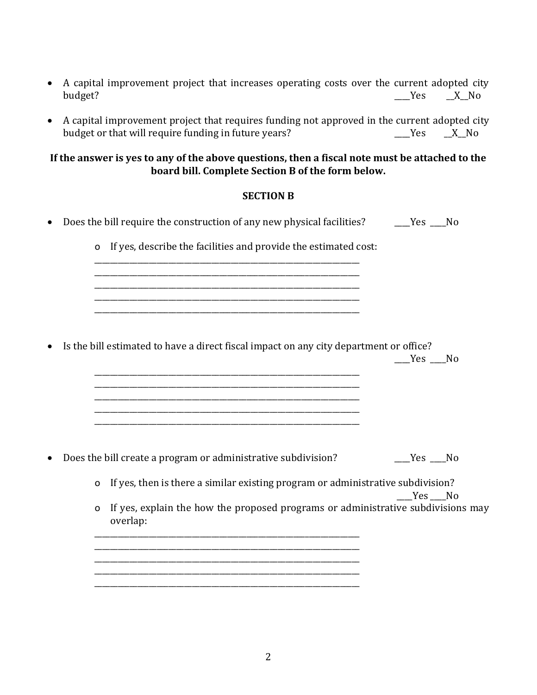- A capital improvement project that increases operating costs over the current adopted city budget? \_\_\_\_Yes \_\_X\_\_No
- A capital improvement project that requires funding not approved in the current adopted city budget or that will require funding in future years? \_\_\_\_\_\_\_\_\_\_\_\_\_\_\_\_\_\_\_\_\_\_\_\_\_\_Yes \_\_\_\_X\_No

# **If the answer is yes to any of the above questions, then a fiscal note must be attached to the board bill. Complete Section B of the form below.**

# **SECTION B**

• Does the bill require the construction of any new physical facilities? \_\_\_\_\_\_Yes \_\_\_\_No o If yes, describe the facilities and provide the estimated cost: \_\_\_\_\_\_\_\_\_\_\_\_\_\_\_\_\_\_\_\_\_\_\_\_\_\_\_\_\_\_\_\_\_\_\_\_\_\_\_\_\_\_\_\_\_\_\_\_\_\_\_\_\_\_\_\_\_\_\_\_\_\_\_\_\_\_\_\_ \_\_\_\_\_\_\_\_\_\_\_\_\_\_\_\_\_\_\_\_\_\_\_\_\_\_\_\_\_\_\_\_\_\_\_\_\_\_\_\_\_\_\_\_\_\_\_\_\_\_\_\_\_\_\_\_\_\_\_\_\_\_\_\_\_\_\_\_ \_\_\_\_\_\_\_\_\_\_\_\_\_\_\_\_\_\_\_\_\_\_\_\_\_\_\_\_\_\_\_\_\_\_\_\_\_\_\_\_\_\_\_\_\_\_\_\_\_\_\_\_\_\_\_\_\_\_\_\_\_\_\_\_\_\_\_\_ \_\_\_\_\_\_\_\_\_\_\_\_\_\_\_\_\_\_\_\_\_\_\_\_\_\_\_\_\_\_\_\_\_\_\_\_\_\_\_\_\_\_\_\_\_\_\_\_\_\_\_\_\_\_\_\_\_\_\_\_\_\_\_\_\_\_\_\_ • Is the bill estimated to have a direct fiscal impact on any city department or office?  $Yes$  No \_\_\_\_\_\_\_\_\_\_\_\_\_\_\_\_\_\_\_\_\_\_\_\_\_\_\_\_\_\_\_\_\_\_\_\_\_\_\_\_\_\_\_\_\_\_\_\_\_\_\_\_\_\_\_\_\_\_\_\_\_\_\_\_\_\_\_\_ \_\_\_\_\_\_\_\_\_\_\_\_\_\_\_\_\_\_\_\_\_\_\_\_\_\_\_\_\_\_\_\_\_\_\_\_\_\_\_\_\_\_\_\_\_\_\_\_\_\_\_\_\_\_\_\_\_\_\_\_\_\_\_\_\_\_\_\_ \_\_\_\_\_\_\_\_\_\_\_\_\_\_\_\_\_\_\_\_\_\_\_\_\_\_\_\_\_\_\_\_\_\_\_\_\_\_\_\_\_\_\_\_\_\_\_\_\_\_\_\_\_\_\_\_\_\_\_\_\_\_\_\_\_\_\_\_ • Does the bill create a program or administrative subdivision? \_\_\_\_Yes \_\_\_\_No o If yes, then is there a similar existing program or administrative subdivision? Yes No o If yes, explain the how the proposed programs or administrative subdivisions may overlap: \_\_\_\_\_\_\_\_\_\_\_\_\_\_\_\_\_\_\_\_\_\_\_\_\_\_\_\_\_\_\_\_\_\_\_\_\_\_\_\_\_\_\_\_\_\_\_\_\_\_\_\_\_\_\_\_\_\_\_\_\_\_\_\_\_\_\_\_ \_\_\_\_\_\_\_\_\_\_\_\_\_\_\_\_\_\_\_\_\_\_\_\_\_\_\_\_\_\_\_\_\_\_\_\_\_\_\_\_\_\_\_\_\_\_\_\_\_\_\_\_\_\_\_\_\_\_\_\_\_\_\_\_\_\_\_\_ \_\_\_\_\_\_\_\_\_\_\_\_\_\_\_\_\_\_\_\_\_\_\_\_\_\_\_\_\_\_\_\_\_\_\_\_\_\_\_\_\_\_\_\_\_\_\_\_\_\_\_\_\_\_\_\_\_\_\_\_\_\_\_\_\_\_\_\_ \_\_\_\_\_\_\_\_\_\_\_\_\_\_\_\_\_\_\_\_\_\_\_\_\_\_\_\_\_\_\_\_\_\_\_\_\_\_\_\_\_\_\_\_\_\_\_\_\_\_\_\_\_\_\_\_\_\_\_\_\_\_\_\_\_\_\_\_

\_\_\_\_\_\_\_\_\_\_\_\_\_\_\_\_\_\_\_\_\_\_\_\_\_\_\_\_\_\_\_\_\_\_\_\_\_\_\_\_\_\_\_\_\_\_\_\_\_\_\_\_\_\_\_\_\_\_\_\_\_\_\_\_\_\_\_\_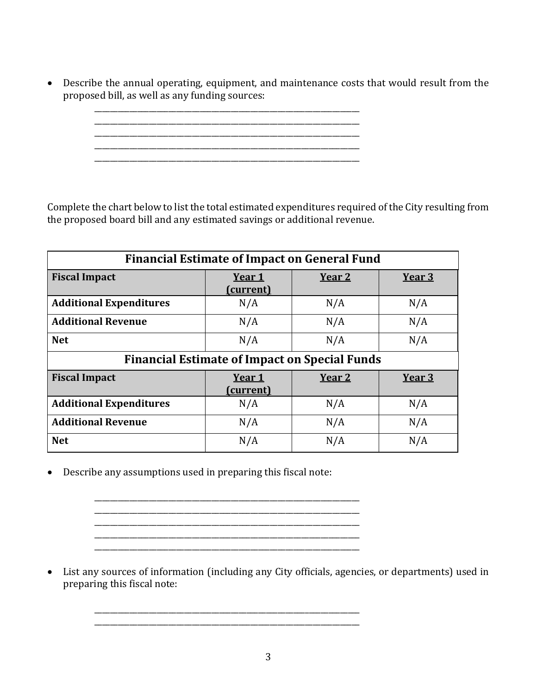• Describe the annual operating, equipment, and maintenance costs that would result from the proposed bill, as well as any funding sources:

> \_\_\_\_\_\_\_\_\_\_\_\_\_\_\_\_\_\_\_\_\_\_\_\_\_\_\_\_\_\_\_\_\_\_\_\_\_\_\_\_\_\_\_\_\_\_\_\_\_\_\_\_\_\_\_\_\_\_\_\_\_\_\_\_\_\_\_\_ \_\_\_\_\_\_\_\_\_\_\_\_\_\_\_\_\_\_\_\_\_\_\_\_\_\_\_\_\_\_\_\_\_\_\_\_\_\_\_\_\_\_\_\_\_\_\_\_\_\_\_\_\_\_\_\_\_\_\_\_\_\_\_\_\_\_\_\_  $\mathcal{L}_\text{max} = \frac{1}{2} \sum_{i=1}^{n} \frac{1}{2} \sum_{i=1}^{n} \frac{1}{2} \sum_{i=1}^{n} \frac{1}{2} \sum_{i=1}^{n} \frac{1}{2} \sum_{i=1}^{n} \frac{1}{2} \sum_{i=1}^{n} \frac{1}{2} \sum_{i=1}^{n} \frac{1}{2} \sum_{i=1}^{n} \frac{1}{2} \sum_{i=1}^{n} \frac{1}{2} \sum_{i=1}^{n} \frac{1}{2} \sum_{i=1}^{n} \frac{1}{2} \sum_{i=1}^{n} \frac{1$ \_\_\_\_\_\_\_\_\_\_\_\_\_\_\_\_\_\_\_\_\_\_\_\_\_\_\_\_\_\_\_\_\_\_\_\_\_\_\_\_\_\_\_\_\_\_\_\_\_\_\_\_\_\_\_\_\_\_\_\_\_\_\_\_\_\_\_\_ \_\_\_\_\_\_\_\_\_\_\_\_\_\_\_\_\_\_\_\_\_\_\_\_\_\_\_\_\_\_\_\_\_\_\_\_\_\_\_\_\_\_\_\_\_\_\_\_\_\_\_\_\_\_\_\_\_\_\_\_\_\_\_\_\_\_\_\_

Complete the chart below to list the total estimated expenditures required of the City resulting from the proposed board bill and any estimated savings or additional revenue.

| <b>Financial Estimate of Impact on General Fund</b>  |                            |                   |        |
|------------------------------------------------------|----------------------------|-------------------|--------|
| <b>Fiscal Impact</b>                                 | Year 1<br>(current)        | Year <sub>2</sub> | Year 3 |
| <b>Additional Expenditures</b>                       | N/A                        | N/A               | N/A    |
| <b>Additional Revenue</b>                            | N/A                        | N/A               | N/A    |
| <b>Net</b>                                           | N/A                        | N/A               | N/A    |
| <b>Financial Estimate of Impact on Special Funds</b> |                            |                   |        |
| <b>Fiscal Impact</b>                                 | Year 1<br><u>(current)</u> | Year <sub>2</sub> | Year 3 |
| <b>Additional Expenditures</b>                       | N/A                        | N/A               | N/A    |
| <b>Additional Revenue</b>                            | N/A                        | N/A               | N/A    |
| <b>Net</b>                                           | N/A                        | N/A               | N/A    |

• Describe any assumptions used in preparing this fiscal note:

\_\_\_\_\_\_\_\_\_\_\_\_\_\_\_\_\_\_\_\_\_\_\_\_\_\_\_\_\_\_\_\_\_\_\_\_\_\_\_\_\_\_\_\_\_\_\_\_\_\_\_\_\_\_\_\_\_\_\_\_\_\_\_\_\_\_\_\_ \_\_\_\_\_\_\_\_\_\_\_\_\_\_\_\_\_\_\_\_\_\_\_\_\_\_\_\_\_\_\_\_\_\_\_\_\_\_\_\_\_\_\_\_\_\_\_\_\_\_\_\_\_\_\_\_\_\_\_\_\_\_\_\_\_\_\_\_ \_\_\_\_\_\_\_\_\_\_\_\_\_\_\_\_\_\_\_\_\_\_\_\_\_\_\_\_\_\_\_\_\_\_\_\_\_\_\_\_\_\_\_\_\_\_\_\_\_\_\_\_\_\_\_\_\_\_\_\_\_\_\_\_\_\_\_\_ \_\_\_\_\_\_\_\_\_\_\_\_\_\_\_\_\_\_\_\_\_\_\_\_\_\_\_\_\_\_\_\_\_\_\_\_\_\_\_\_\_\_\_\_\_\_\_\_\_\_\_\_\_\_\_\_\_\_\_\_\_\_\_\_\_\_\_\_

\_\_\_\_\_\_\_\_\_\_\_\_\_\_\_\_\_\_\_\_\_\_\_\_\_\_\_\_\_\_\_\_\_\_\_\_\_\_\_\_\_\_\_\_\_\_\_\_\_\_\_\_\_\_\_\_\_\_\_\_\_\_\_\_\_\_\_\_

• List any sources of information (including any City officials, agencies, or departments) used in preparing this fiscal note: